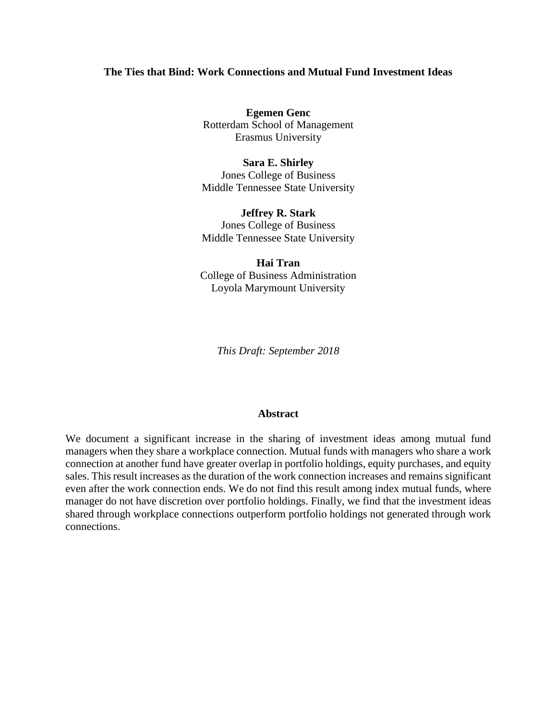## **The Ties that Bind: Work Connections and Mutual Fund Investment Ideas**

**Egemen Genc** Rotterdam School of Management Erasmus University

**Sara E. Shirley** Jones College of Business Middle Tennessee State University

**Jeffrey R. Stark** Jones College of Business Middle Tennessee State University

**Hai Tran** College of Business Administration Loyola Marymount University

*This Draft: September 2018*

#### **Abstract**

We document a significant increase in the sharing of investment ideas among mutual fund managers when they share a workplace connection. Mutual funds with managers who share a work connection at another fund have greater overlap in portfolio holdings, equity purchases, and equity sales. This result increases as the duration of the work connection increases and remains significant even after the work connection ends. We do not find this result among index mutual funds, where manager do not have discretion over portfolio holdings. Finally, we find that the investment ideas shared through workplace connections outperform portfolio holdings not generated through work connections.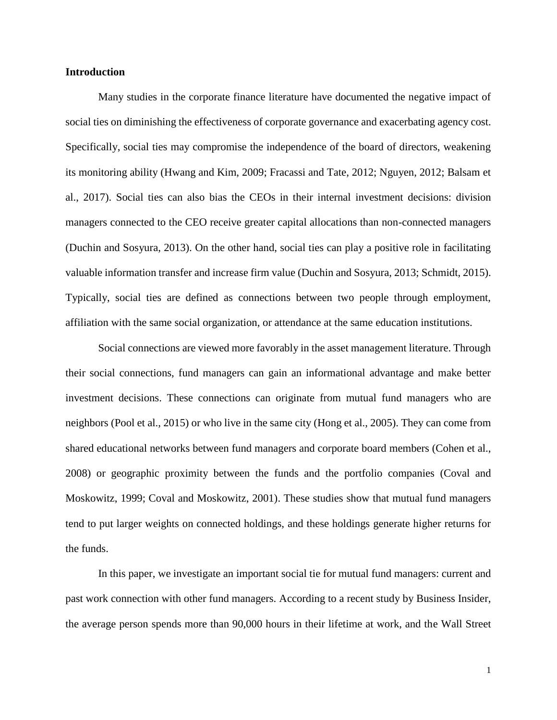## **Introduction**

Many studies in the corporate finance literature have documented the negative impact of social ties on diminishing the effectiveness of corporate governance and exacerbating agency cost. Specifically, social ties may compromise the independence of the board of directors, weakening its monitoring ability (Hwang and Kim, 2009; Fracassi and Tate, 2012; Nguyen, 2012; Balsam et al., 2017). Social ties can also bias the CEOs in their internal investment decisions: division managers connected to the CEO receive greater capital allocations than non-connected managers (Duchin and Sosyura, 2013). On the other hand, social ties can play a positive role in facilitating valuable information transfer and increase firm value (Duchin and Sosyura, 2013; Schmidt, 2015). Typically, social ties are defined as connections between two people through employment, affiliation with the same social organization, or attendance at the same education institutions.

Social connections are viewed more favorably in the asset management literature. Through their social connections, fund managers can gain an informational advantage and make better investment decisions. These connections can originate from mutual fund managers who are neighbors (Pool et al., 2015) or who live in the same city (Hong et al., 2005). They can come from shared educational networks between fund managers and corporate board members (Cohen et al., 2008) or geographic proximity between the funds and the portfolio companies (Coval and Moskowitz, 1999; Coval and Moskowitz, 2001). These studies show that mutual fund managers tend to put larger weights on connected holdings, and these holdings generate higher returns for the funds.

In this paper, we investigate an important social tie for mutual fund managers: current and past work connection with other fund managers. According to a recent study by Business Insider, the average person spends more than 90,000 hours in their lifetime at work, and the Wall Street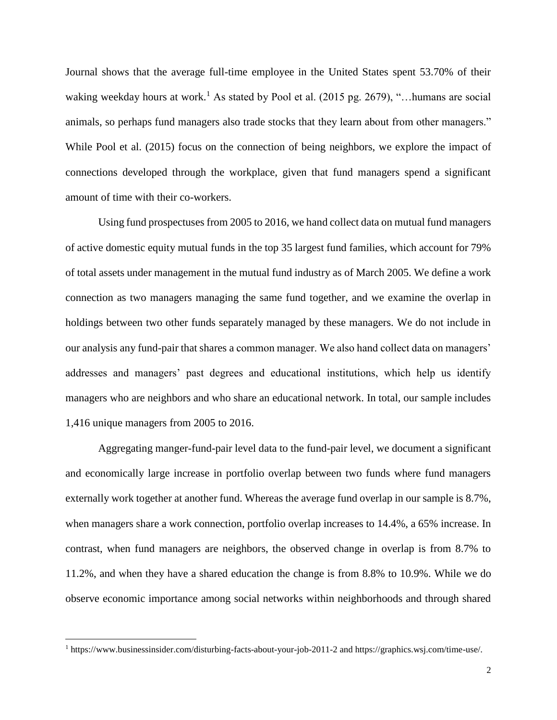Journal shows that the average full-time employee in the United States spent 53.70% of their waking weekday hours at work.<sup>1</sup> As stated by Pool et al. (2015 pg. 2679), "... humans are social animals, so perhaps fund managers also trade stocks that they learn about from other managers." While Pool et al. (2015) focus on the connection of being neighbors, we explore the impact of connections developed through the workplace, given that fund managers spend a significant amount of time with their co-workers.

Using fund prospectuses from 2005 to 2016, we hand collect data on mutual fund managers of active domestic equity mutual funds in the top 35 largest fund families, which account for 79% of total assets under management in the mutual fund industry as of March 2005. We define a work connection as two managers managing the same fund together, and we examine the overlap in holdings between two other funds separately managed by these managers. We do not include in our analysis any fund-pair that shares a common manager. We also hand collect data on managers' addresses and managers' past degrees and educational institutions, which help us identify managers who are neighbors and who share an educational network. In total, our sample includes 1,416 unique managers from 2005 to 2016.

Aggregating manger-fund-pair level data to the fund-pair level, we document a significant and economically large increase in portfolio overlap between two funds where fund managers externally work together at another fund. Whereas the average fund overlap in our sample is 8.7%, when managers share a work connection, portfolio overlap increases to 14.4%, a 65% increase. In contrast, when fund managers are neighbors, the observed change in overlap is from 8.7% to 11.2%, and when they have a shared education the change is from 8.8% to 10.9%. While we do observe economic importance among social networks within neighborhoods and through shared

 $\overline{\phantom{a}}$ 

<sup>1</sup> https://www.businessinsider.com/disturbing-facts-about-your-job-2011-2 and https://graphics.wsj.com/time-use/.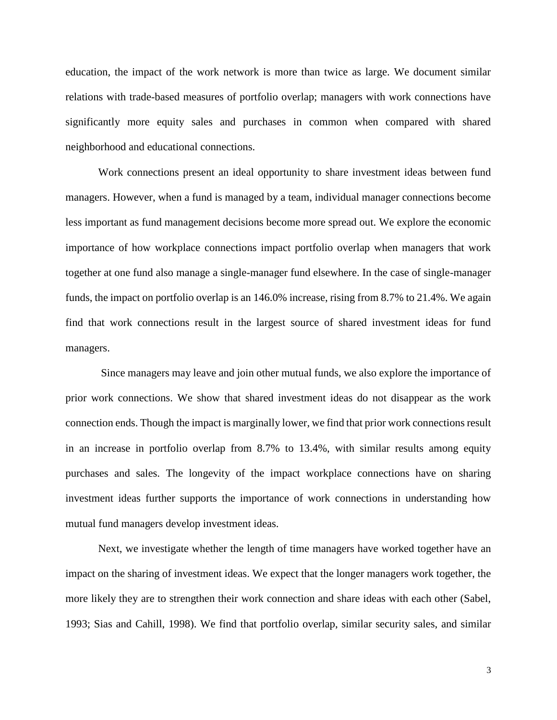education, the impact of the work network is more than twice as large. We document similar relations with trade-based measures of portfolio overlap; managers with work connections have significantly more equity sales and purchases in common when compared with shared neighborhood and educational connections.

Work connections present an ideal opportunity to share investment ideas between fund managers. However, when a fund is managed by a team, individual manager connections become less important as fund management decisions become more spread out. We explore the economic importance of how workplace connections impact portfolio overlap when managers that work together at one fund also manage a single-manager fund elsewhere. In the case of single-manager funds, the impact on portfolio overlap is an 146.0% increase, rising from 8.7% to 21.4%. We again find that work connections result in the largest source of shared investment ideas for fund managers.

Since managers may leave and join other mutual funds, we also explore the importance of prior work connections. We show that shared investment ideas do not disappear as the work connection ends. Though the impact is marginally lower, we find that prior work connections result in an increase in portfolio overlap from 8.7% to 13.4%, with similar results among equity purchases and sales. The longevity of the impact workplace connections have on sharing investment ideas further supports the importance of work connections in understanding how mutual fund managers develop investment ideas.

Next, we investigate whether the length of time managers have worked together have an impact on the sharing of investment ideas. We expect that the longer managers work together, the more likely they are to strengthen their work connection and share ideas with each other (Sabel, 1993; Sias and Cahill, 1998). We find that portfolio overlap, similar security sales, and similar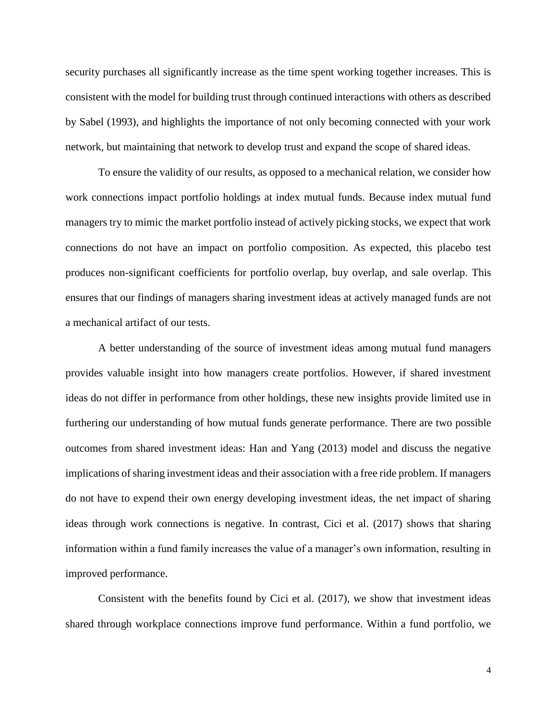security purchases all significantly increase as the time spent working together increases. This is consistent with the model for building trust through continued interactions with others as described by Sabel (1993), and highlights the importance of not only becoming connected with your work network, but maintaining that network to develop trust and expand the scope of shared ideas.

To ensure the validity of our results, as opposed to a mechanical relation, we consider how work connections impact portfolio holdings at index mutual funds. Because index mutual fund managers try to mimic the market portfolio instead of actively picking stocks, we expect that work connections do not have an impact on portfolio composition. As expected, this placebo test produces non-significant coefficients for portfolio overlap, buy overlap, and sale overlap. This ensures that our findings of managers sharing investment ideas at actively managed funds are not a mechanical artifact of our tests.

A better understanding of the source of investment ideas among mutual fund managers provides valuable insight into how managers create portfolios. However, if shared investment ideas do not differ in performance from other holdings, these new insights provide limited use in furthering our understanding of how mutual funds generate performance. There are two possible outcomes from shared investment ideas: Han and Yang (2013) model and discuss the negative implications of sharing investment ideas and their association with a free ride problem. If managers do not have to expend their own energy developing investment ideas, the net impact of sharing ideas through work connections is negative. In contrast, Cici et al. (2017) shows that sharing information within a fund family increases the value of a manager's own information, resulting in improved performance.

Consistent with the benefits found by Cici et al. (2017), we show that investment ideas shared through workplace connections improve fund performance. Within a fund portfolio, we

4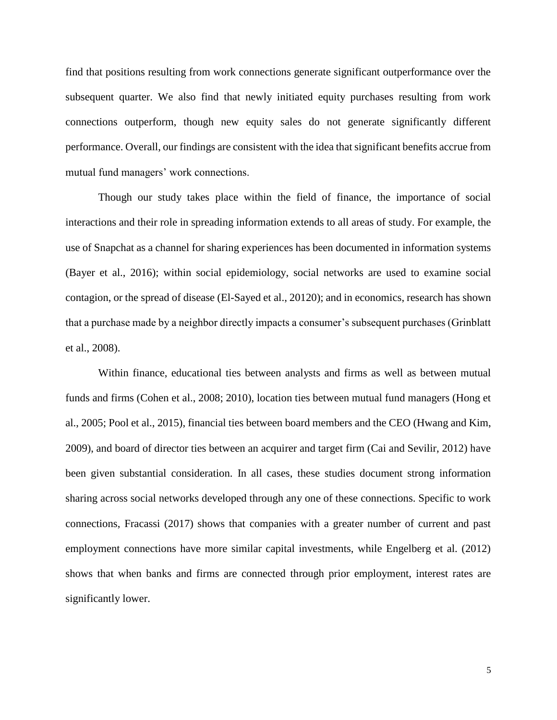find that positions resulting from work connections generate significant outperformance over the subsequent quarter. We also find that newly initiated equity purchases resulting from work connections outperform, though new equity sales do not generate significantly different performance. Overall, our findings are consistent with the idea that significant benefits accrue from mutual fund managers' work connections.

Though our study takes place within the field of finance, the importance of social interactions and their role in spreading information extends to all areas of study. For example, the use of Snapchat as a channel for sharing experiences has been documented in information systems (Bayer et al., 2016); within social epidemiology, social networks are used to examine social contagion, or the spread of disease (El-Sayed et al., 20120); and in economics, research has shown that a purchase made by a neighbor directly impacts a consumer's subsequent purchases (Grinblatt et al., 2008).

Within finance, educational ties between analysts and firms as well as between mutual funds and firms (Cohen et al., 2008; 2010), location ties between mutual fund managers (Hong et al., 2005; Pool et al., 2015), financial ties between board members and the CEO (Hwang and Kim, 2009), and board of director ties between an acquirer and target firm (Cai and Sevilir, 2012) have been given substantial consideration. In all cases, these studies document strong information sharing across social networks developed through any one of these connections. Specific to work connections, Fracassi (2017) shows that companies with a greater number of current and past employment connections have more similar capital investments, while Engelberg et al. (2012) shows that when banks and firms are connected through prior employment, interest rates are significantly lower.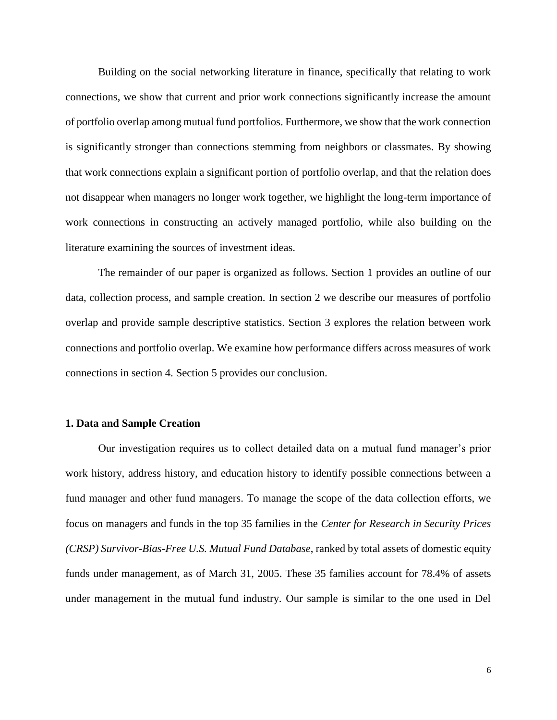Building on the social networking literature in finance, specifically that relating to work connections, we show that current and prior work connections significantly increase the amount of portfolio overlap among mutual fund portfolios. Furthermore, we show that the work connection is significantly stronger than connections stemming from neighbors or classmates. By showing that work connections explain a significant portion of portfolio overlap, and that the relation does not disappear when managers no longer work together, we highlight the long-term importance of work connections in constructing an actively managed portfolio, while also building on the literature examining the sources of investment ideas.

The remainder of our paper is organized as follows. Section 1 provides an outline of our data, collection process, and sample creation. In section 2 we describe our measures of portfolio overlap and provide sample descriptive statistics. Section 3 explores the relation between work connections and portfolio overlap. We examine how performance differs across measures of work connections in section 4. Section 5 provides our conclusion.

## **1. Data and Sample Creation**

Our investigation requires us to collect detailed data on a mutual fund manager's prior work history, address history, and education history to identify possible connections between a fund manager and other fund managers. To manage the scope of the data collection efforts, we focus on managers and funds in the top 35 families in the *Center for Research in Security Prices (CRSP) Survivor-Bias-Free U.S. Mutual Fund Database*, ranked by total assets of domestic equity funds under management, as of March 31, 2005. These 35 families account for 78.4% of assets under management in the mutual fund industry. Our sample is similar to the one used in Del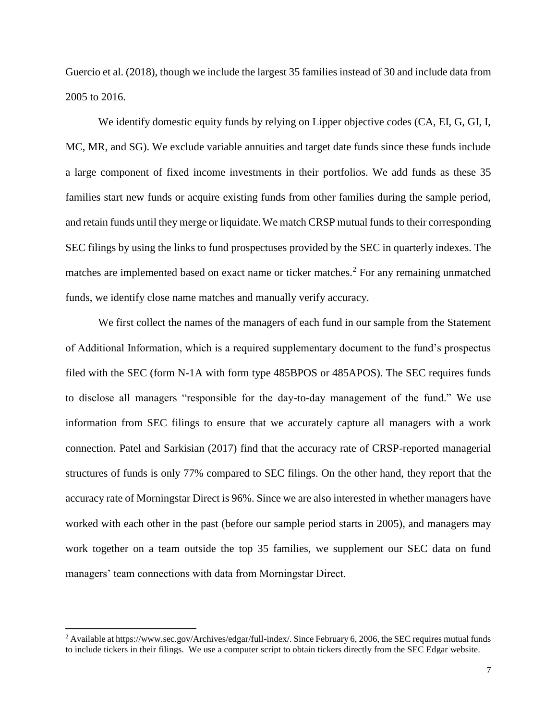Guercio et al. (2018), though we include the largest 35 families instead of 30 and include data from 2005 to 2016.

We identify domestic equity funds by relying on Lipper objective codes (CA, EI, G, GI, I, MC, MR, and SG). We exclude variable annuities and target date funds since these funds include a large component of fixed income investments in their portfolios. We add funds as these 35 families start new funds or acquire existing funds from other families during the sample period, and retain funds until they merge or liquidate.We match CRSP mutual funds to their corresponding SEC filings by using the links to fund prospectuses provided by the SEC in quarterly indexes. The matches are implemented based on exact name or ticker matches.<sup>2</sup> For any remaining unmatched funds, we identify close name matches and manually verify accuracy.

We first collect the names of the managers of each fund in our sample from the Statement of Additional Information, which is a required supplementary document to the fund's prospectus filed with the SEC (form N-1A with form type 485BPOS or 485APOS). The SEC requires funds to disclose all managers "responsible for the day-to-day management of the fund." We use information from SEC filings to ensure that we accurately capture all managers with a work connection. Patel and Sarkisian (2017) find that the accuracy rate of CRSP-reported managerial structures of funds is only 77% compared to SEC filings. On the other hand, they report that the accuracy rate of Morningstar Direct is 96%. Since we are also interested in whether managers have worked with each other in the past (before our sample period starts in 2005), and managers may work together on a team outside the top 35 families, we supplement our SEC data on fund managers' team connections with data from Morningstar Direct.

 $\overline{a}$ 

<sup>&</sup>lt;sup>2</sup> Available at https://www.sec.gov/Archives/edgar/full-index/. Since February 6, 2006, the SEC requires mutual funds to include tickers in their filings. We use a computer script to obtain tickers directly from the SEC Edgar website.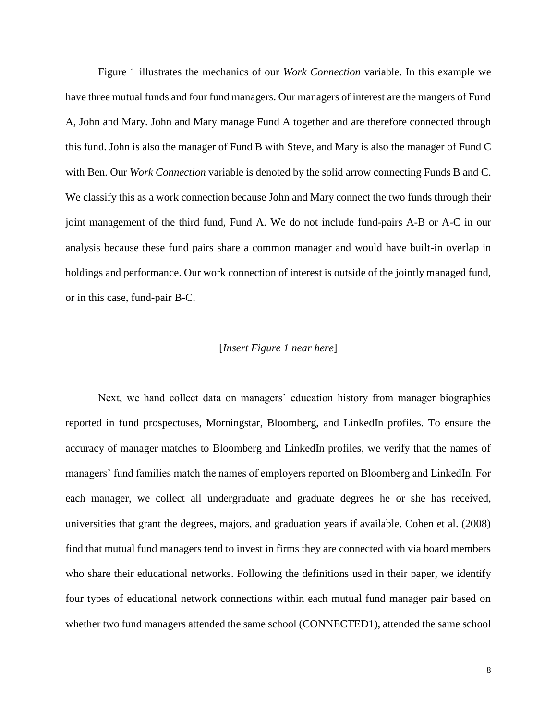Figure 1 illustrates the mechanics of our *Work Connection* variable. In this example we have three mutual funds and four fund managers. Our managers of interest are the mangers of Fund A, John and Mary. John and Mary manage Fund A together and are therefore connected through this fund. John is also the manager of Fund B with Steve, and Mary is also the manager of Fund C with Ben. Our *Work Connection* variable is denoted by the solid arrow connecting Funds B and C. We classify this as a work connection because John and Mary connect the two funds through their joint management of the third fund, Fund A. We do not include fund-pairs A-B or A-C in our analysis because these fund pairs share a common manager and would have built-in overlap in holdings and performance. Our work connection of interest is outside of the jointly managed fund, or in this case, fund-pair B-C.

# [*Insert Figure 1 near here*]

Next, we hand collect data on managers' education history from manager biographies reported in fund prospectuses, Morningstar, Bloomberg, and LinkedIn profiles. To ensure the accuracy of manager matches to Bloomberg and LinkedIn profiles, we verify that the names of managers' fund families match the names of employers reported on Bloomberg and LinkedIn. For each manager, we collect all undergraduate and graduate degrees he or she has received, universities that grant the degrees, majors, and graduation years if available. Cohen et al. (2008) find that mutual fund managers tend to invest in firms they are connected with via board members who share their educational networks. Following the definitions used in their paper, we identify four types of educational network connections within each mutual fund manager pair based on whether two fund managers attended the same school (CONNECTED1), attended the same school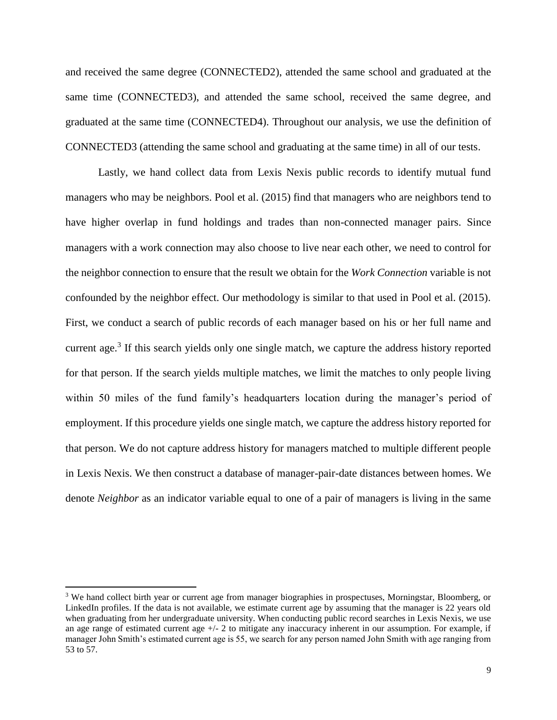and received the same degree (CONNECTED2), attended the same school and graduated at the same time (CONNECTED3), and attended the same school, received the same degree, and graduated at the same time (CONNECTED4). Throughout our analysis, we use the definition of CONNECTED3 (attending the same school and graduating at the same time) in all of our tests.

Lastly, we hand collect data from Lexis Nexis public records to identify mutual fund managers who may be neighbors. Pool et al. (2015) find that managers who are neighbors tend to have higher overlap in fund holdings and trades than non-connected manager pairs. Since managers with a work connection may also choose to live near each other, we need to control for the neighbor connection to ensure that the result we obtain for the *Work Connection* variable is not confounded by the neighbor effect. Our methodology is similar to that used in Pool et al. (2015). First, we conduct a search of public records of each manager based on his or her full name and current age.<sup>3</sup> If this search yields only one single match, we capture the address history reported for that person. If the search yields multiple matches, we limit the matches to only people living within 50 miles of the fund family's headquarters location during the manager's period of employment. If this procedure yields one single match, we capture the address history reported for that person. We do not capture address history for managers matched to multiple different people in Lexis Nexis. We then construct a database of manager-pair-date distances between homes. We denote *Neighbor* as an indicator variable equal to one of a pair of managers is living in the same

 $\overline{\phantom{a}}$ 

<sup>&</sup>lt;sup>3</sup> We hand collect birth year or current age from manager biographies in prospectuses, Morningstar, Bloomberg, or LinkedIn profiles. If the data is not available, we estimate current age by assuming that the manager is 22 years old when graduating from her undergraduate university. When conducting public record searches in Lexis Nexis, we use an age range of estimated current age  $+/- 2$  to mitigate any inaccuracy inherent in our assumption. For example, if manager John Smith's estimated current age is 55, we search for any person named John Smith with age ranging from 53 to 57.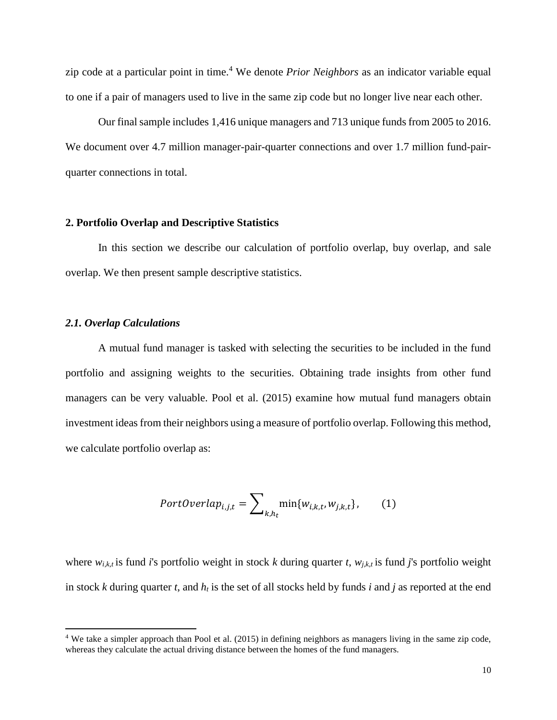zip code at a particular point in time.<sup>4</sup> We denote *Prior Neighbors* as an indicator variable equal to one if a pair of managers used to live in the same zip code but no longer live near each other.

Our final sample includes 1,416 unique managers and 713 unique funds from 2005 to 2016. We document over 4.7 million manager-pair-quarter connections and over 1.7 million fund-pairquarter connections in total.

### **2. Portfolio Overlap and Descriptive Statistics**

In this section we describe our calculation of portfolio overlap, buy overlap, and sale overlap. We then present sample descriptive statistics.

## *2.1. Overlap Calculations*

 $\overline{a}$ 

A mutual fund manager is tasked with selecting the securities to be included in the fund portfolio and assigning weights to the securities. Obtaining trade insights from other fund managers can be very valuable. Pool et al. (2015) examine how mutual fund managers obtain investment ideas from their neighbors using a measure of portfolio overlap. Following this method, we calculate portfolio overlap as:

$$
Portoverlap_{i,j,t} = \sum\nolimits_{k,h_t} \min\{w_{i,k,t}, w_{j,k,t}\},\qquad(1)
$$

where  $w_{i,k,t}$  is fund *i*'s portfolio weight in stock *k* during quarter *t*,  $w_{j,k,t}$  is fund *j*'s portfolio weight in stock *k* during quarter *t*, and *h<sup>t</sup>* is the set of all stocks held by funds *i* and *j* as reported at the end

<sup>&</sup>lt;sup>4</sup> We take a simpler approach than Pool et al. (2015) in defining neighbors as managers living in the same zip code, whereas they calculate the actual driving distance between the homes of the fund managers.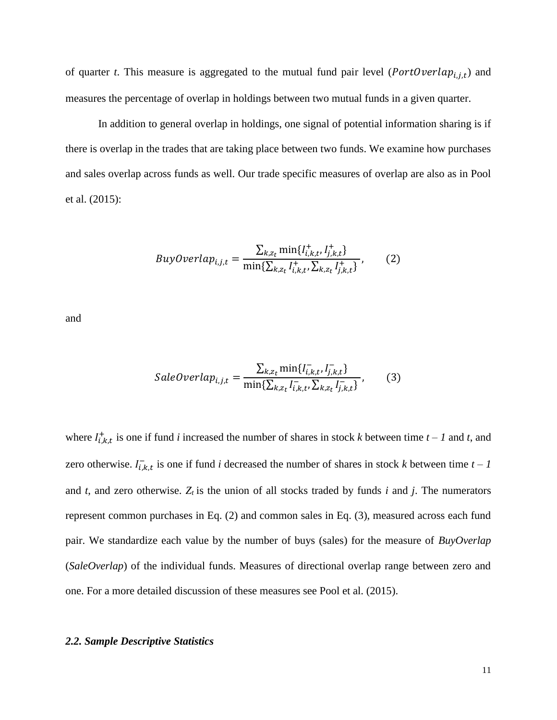of quarter *t*. This measure is aggregated to the mutual fund pair level ( $PortOverlap_{i,j,t}$ ) and measures the percentage of overlap in holdings between two mutual funds in a given quarter.

In addition to general overlap in holdings, one signal of potential information sharing is if there is overlap in the trades that are taking place between two funds. We examine how purchases and sales overlap across funds as well. Our trade specific measures of overlap are also as in Pool et al. (2015):

*BuyOverlap<sub>i,j,t</sub>* = 
$$
\frac{\sum_{k,z_t} \min\{I_{i,k,t}^+, I_{j,k,t}^+\}}{\min\{\sum_{k,z_t} I_{i,k,t}^+, \sum_{k,z_t} I_{j,k,t}^+\}},
$$
 (2)

and

$$
SaleOverlap_{i,j,t} = \frac{\sum_{k,z_t} \min\{I_{i,k,t}^-, I_{j,k,t}^-\}}{\min\{\sum_{k,z_t} I_{i,k,t}^-, \sum_{k,z_t} I_{j,k,t}^-\}},
$$
(3)

where  $I_{i,k,t}^{+}$  is one if fund *i* increased the number of shares in stock *k* between time  $t - 1$  and *t*, and zero otherwise.  $I_{i,k,t}^-$  is one if fund *i* decreased the number of shares in stock *k* between time  $t - 1$ and  $t$ , and zero otherwise.  $Z_t$  is the union of all stocks traded by funds  $i$  and  $j$ . The numerators represent common purchases in Eq. (2) and common sales in Eq. (3), measured across each fund pair. We standardize each value by the number of buys (sales) for the measure of *BuyOverlap* (*SaleOverlap*) of the individual funds. Measures of directional overlap range between zero and one. For a more detailed discussion of these measures see Pool et al. (2015).

### *2.2. Sample Descriptive Statistics*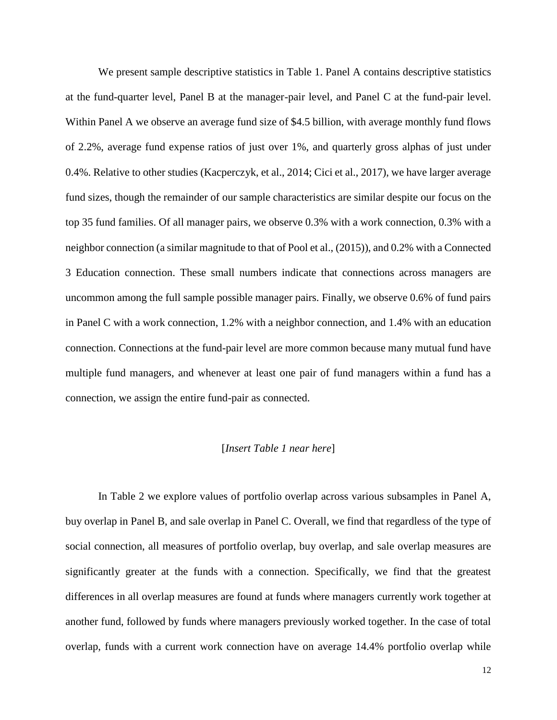We present sample descriptive statistics in Table 1. Panel A contains descriptive statistics at the fund-quarter level, Panel B at the manager-pair level, and Panel C at the fund-pair level. Within Panel A we observe an average fund size of \$4.5 billion, with average monthly fund flows of 2.2%, average fund expense ratios of just over 1%, and quarterly gross alphas of just under 0.4%. Relative to other studies (Kacperczyk, et al., 2014; Cici et al., 2017), we have larger average fund sizes, though the remainder of our sample characteristics are similar despite our focus on the top 35 fund families. Of all manager pairs, we observe 0.3% with a work connection, 0.3% with a neighbor connection (a similar magnitude to that of Pool et al., (2015)), and 0.2% with a Connected 3 Education connection. These small numbers indicate that connections across managers are uncommon among the full sample possible manager pairs. Finally, we observe 0.6% of fund pairs in Panel C with a work connection, 1.2% with a neighbor connection, and 1.4% with an education connection. Connections at the fund-pair level are more common because many mutual fund have multiple fund managers, and whenever at least one pair of fund managers within a fund has a connection, we assign the entire fund-pair as connected.

#### [*Insert Table 1 near here*]

In Table 2 we explore values of portfolio overlap across various subsamples in Panel A, buy overlap in Panel B, and sale overlap in Panel C. Overall, we find that regardless of the type of social connection, all measures of portfolio overlap, buy overlap, and sale overlap measures are significantly greater at the funds with a connection. Specifically, we find that the greatest differences in all overlap measures are found at funds where managers currently work together at another fund, followed by funds where managers previously worked together. In the case of total overlap, funds with a current work connection have on average 14.4% portfolio overlap while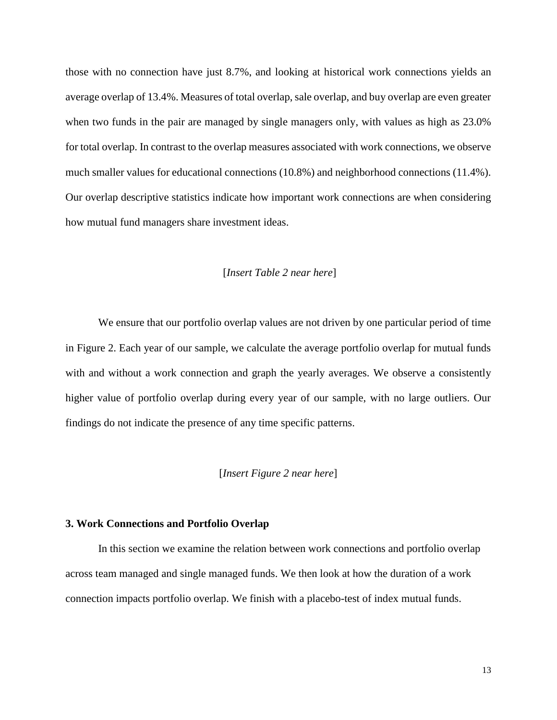those with no connection have just 8.7%, and looking at historical work connections yields an average overlap of 13.4%. Measures of total overlap, sale overlap, and buy overlap are even greater when two funds in the pair are managed by single managers only, with values as high as 23.0% for total overlap. In contrast to the overlap measures associated with work connections, we observe much smaller values for educational connections (10.8%) and neighborhood connections (11.4%). Our overlap descriptive statistics indicate how important work connections are when considering how mutual fund managers share investment ideas.

# [*Insert Table 2 near here*]

We ensure that our portfolio overlap values are not driven by one particular period of time in Figure 2. Each year of our sample, we calculate the average portfolio overlap for mutual funds with and without a work connection and graph the yearly averages. We observe a consistently higher value of portfolio overlap during every year of our sample, with no large outliers. Our findings do not indicate the presence of any time specific patterns.

## [*Insert Figure 2 near here*]

#### **3. Work Connections and Portfolio Overlap**

In this section we examine the relation between work connections and portfolio overlap across team managed and single managed funds. We then look at how the duration of a work connection impacts portfolio overlap. We finish with a placebo-test of index mutual funds.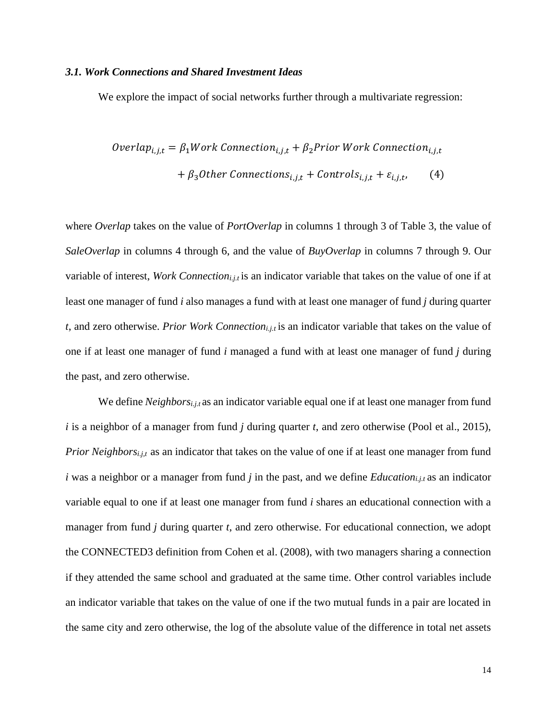#### *3.1. Work Connections and Shared Investment Ideas*

We explore the impact of social networks further through a multivariate regression:

*Overlap<sub>i,j,t</sub>* = 
$$
\beta_1
$$
*Work Connection<sub>i,j,t</sub>* +  $\beta_2$ *Prior Work Connection<sub>i,j,t</sub>*  
+  $\beta_3$ *Other Connections<sub>i,j,t</sub>* + *Controls<sub>i,j,t</sub>* +  $\varepsilon_{i,j,t}$ , (4)

where *Overlap* takes on the value of *PortOverlap* in columns 1 through 3 of Table 3, the value of *SaleOverlap* in columns 4 through 6, and the value of *BuyOverlap* in columns 7 through 9. Our variable of interest, *Work Connectioni.j.t* is an indicator variable that takes on the value of one if at least one manager of fund *i* also manages a fund with at least one manager of fund *j* during quarter *t*, and zero otherwise. *Prior Work Connectioni.j.t* is an indicator variable that takes on the value of one if at least one manager of fund *i* managed a fund with at least one manager of fund *j* during the past, and zero otherwise.

We define *Neighborsi.j.t* as an indicator variable equal one if at least one manager from fund *i* is a neighbor of a manager from fund *j* during quarter *t*, and zero otherwise (Pool et al., 2015), *Prior Neighbors<sub>i.j,t</sub>* as an indicator that takes on the value of one if at least one manager from fund *i* was a neighbor or a manager from fund *j* in the past, and we define *Educationi.j.t* as an indicator variable equal to one if at least one manager from fund *i* shares an educational connection with a manager from fund *j* during quarter *t*, and zero otherwise. For educational connection, we adopt the CONNECTED3 definition from Cohen et al. (2008), with two managers sharing a connection if they attended the same school and graduated at the same time. Other control variables include an indicator variable that takes on the value of one if the two mutual funds in a pair are located in the same city and zero otherwise, the log of the absolute value of the difference in total net assets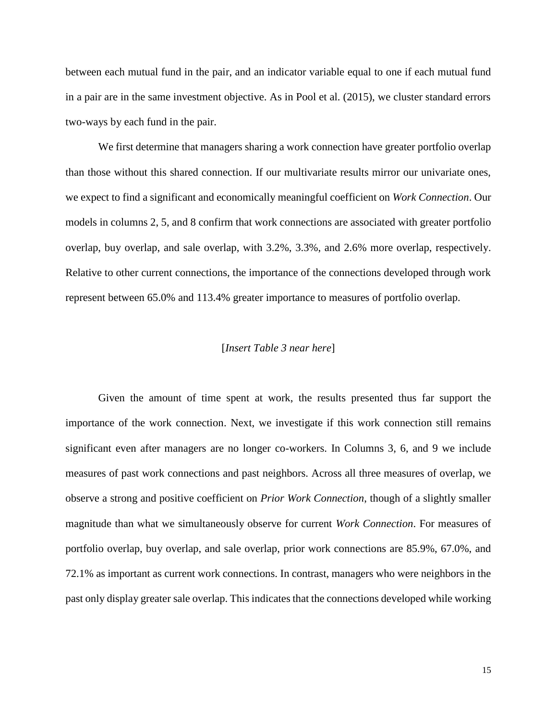between each mutual fund in the pair, and an indicator variable equal to one if each mutual fund in a pair are in the same investment objective. As in Pool et al. (2015), we cluster standard errors two-ways by each fund in the pair.

We first determine that managers sharing a work connection have greater portfolio overlap than those without this shared connection. If our multivariate results mirror our univariate ones, we expect to find a significant and economically meaningful coefficient on *Work Connection*. Our models in columns 2, 5, and 8 confirm that work connections are associated with greater portfolio overlap, buy overlap, and sale overlap, with 3.2%, 3.3%, and 2.6% more overlap, respectively. Relative to other current connections, the importance of the connections developed through work represent between 65.0% and 113.4% greater importance to measures of portfolio overlap.

## [*Insert Table 3 near here*]

Given the amount of time spent at work, the results presented thus far support the importance of the work connection. Next, we investigate if this work connection still remains significant even after managers are no longer co-workers. In Columns 3, 6, and 9 we include measures of past work connections and past neighbors. Across all three measures of overlap, we observe a strong and positive coefficient on *Prior Work Connection*, though of a slightly smaller magnitude than what we simultaneously observe for current *Work Connection*. For measures of portfolio overlap, buy overlap, and sale overlap, prior work connections are 85.9%, 67.0%, and 72.1% as important as current work connections. In contrast, managers who were neighbors in the past only display greater sale overlap. This indicates that the connections developed while working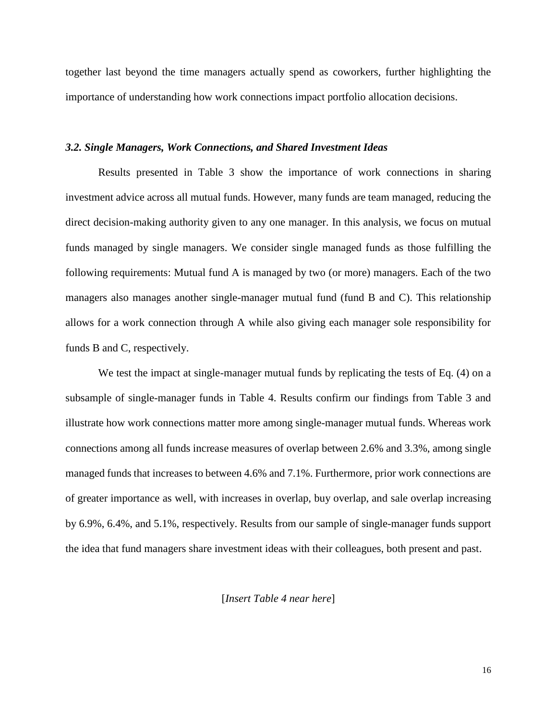together last beyond the time managers actually spend as coworkers, further highlighting the importance of understanding how work connections impact portfolio allocation decisions.

## *3.2. Single Managers, Work Connections, and Shared Investment Ideas*

Results presented in Table 3 show the importance of work connections in sharing investment advice across all mutual funds. However, many funds are team managed, reducing the direct decision-making authority given to any one manager. In this analysis, we focus on mutual funds managed by single managers. We consider single managed funds as those fulfilling the following requirements: Mutual fund A is managed by two (or more) managers. Each of the two managers also manages another single-manager mutual fund (fund B and C). This relationship allows for a work connection through A while also giving each manager sole responsibility for funds B and C, respectively.

We test the impact at single-manager mutual funds by replicating the tests of Eq. (4) on a subsample of single-manager funds in Table 4. Results confirm our findings from Table 3 and illustrate how work connections matter more among single-manager mutual funds. Whereas work connections among all funds increase measures of overlap between 2.6% and 3.3%, among single managed funds that increases to between 4.6% and 7.1%. Furthermore, prior work connections are of greater importance as well, with increases in overlap, buy overlap, and sale overlap increasing by 6.9%, 6.4%, and 5.1%, respectively. Results from our sample of single-manager funds support the idea that fund managers share investment ideas with their colleagues, both present and past.

[*Insert Table 4 near here*]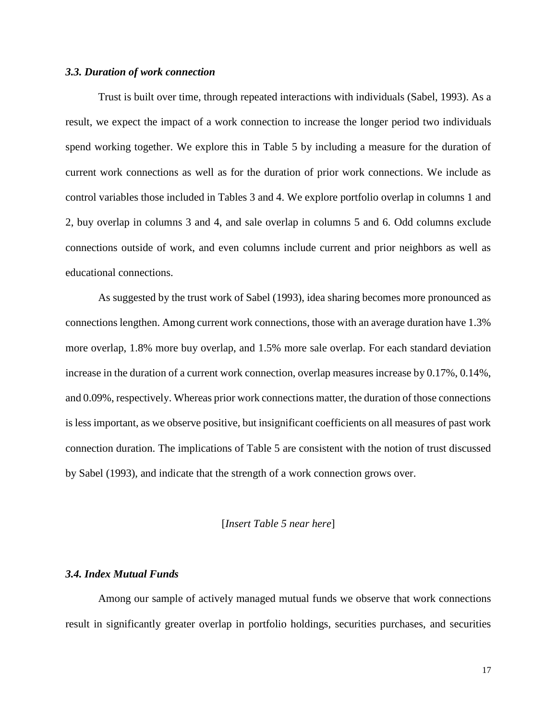## *3.3. Duration of work connection*

Trust is built over time, through repeated interactions with individuals (Sabel, 1993). As a result, we expect the impact of a work connection to increase the longer period two individuals spend working together. We explore this in Table 5 by including a measure for the duration of current work connections as well as for the duration of prior work connections. We include as control variables those included in Tables 3 and 4. We explore portfolio overlap in columns 1 and 2, buy overlap in columns 3 and 4, and sale overlap in columns 5 and 6. Odd columns exclude connections outside of work, and even columns include current and prior neighbors as well as educational connections.

As suggested by the trust work of Sabel (1993), idea sharing becomes more pronounced as connections lengthen. Among current work connections, those with an average duration have 1.3% more overlap, 1.8% more buy overlap, and 1.5% more sale overlap. For each standard deviation increase in the duration of a current work connection, overlap measures increase by 0.17%, 0.14%, and 0.09%, respectively. Whereas prior work connections matter, the duration of those connections is less important, as we observe positive, but insignificant coefficients on all measures of past work connection duration. The implications of Table 5 are consistent with the notion of trust discussed by Sabel (1993), and indicate that the strength of a work connection grows over.

#### [*Insert Table 5 near here*]

#### *3.4. Index Mutual Funds*

Among our sample of actively managed mutual funds we observe that work connections result in significantly greater overlap in portfolio holdings, securities purchases, and securities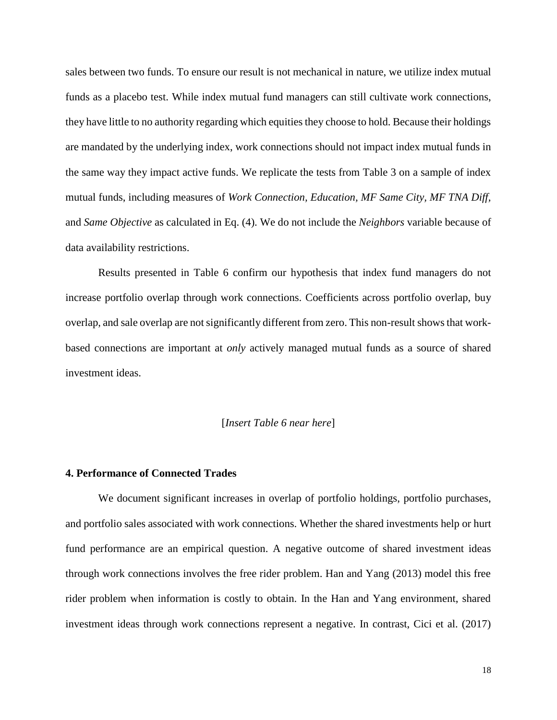sales between two funds. To ensure our result is not mechanical in nature, we utilize index mutual funds as a placebo test. While index mutual fund managers can still cultivate work connections, they have little to no authority regarding which equities they choose to hold. Because their holdings are mandated by the underlying index, work connections should not impact index mutual funds in the same way they impact active funds. We replicate the tests from Table 3 on a sample of index mutual funds, including measures of *Work Connection, Education, MF Same City, MF TNA Diff,*  and *Same Objective* as calculated in Eq. (4). We do not include the *Neighbors* variable because of data availability restrictions.

Results presented in Table 6 confirm our hypothesis that index fund managers do not increase portfolio overlap through work connections. Coefficients across portfolio overlap, buy overlap, and sale overlap are not significantly different from zero. This non-result shows that workbased connections are important at *only* actively managed mutual funds as a source of shared investment ideas.

### [*Insert Table 6 near here*]

#### **4. Performance of Connected Trades**

We document significant increases in overlap of portfolio holdings, portfolio purchases, and portfolio sales associated with work connections. Whether the shared investments help or hurt fund performance are an empirical question. A negative outcome of shared investment ideas through work connections involves the free rider problem. Han and Yang (2013) model this free rider problem when information is costly to obtain. In the Han and Yang environment, shared investment ideas through work connections represent a negative. In contrast, Cici et al. (2017)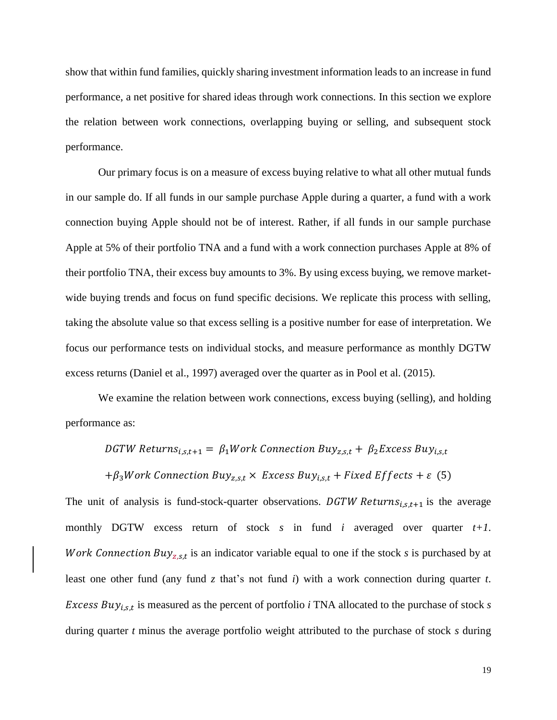show that within fund families, quickly sharing investment information leads to an increase in fund performance, a net positive for shared ideas through work connections. In this section we explore the relation between work connections, overlapping buying or selling, and subsequent stock performance.

Our primary focus is on a measure of excess buying relative to what all other mutual funds in our sample do. If all funds in our sample purchase Apple during a quarter, a fund with a work connection buying Apple should not be of interest. Rather, if all funds in our sample purchase Apple at 5% of their portfolio TNA and a fund with a work connection purchases Apple at 8% of their portfolio TNA, their excess buy amounts to 3%. By using excess buying, we remove marketwide buying trends and focus on fund specific decisions. We replicate this process with selling, taking the absolute value so that excess selling is a positive number for ease of interpretation. We focus our performance tests on individual stocks, and measure performance as monthly DGTW excess returns (Daniel et al., 1997) averaged over the quarter as in Pool et al. (2015).

We examine the relation between work connections, excess buying (selling), and holding performance as:

DGTW Returns<sub>i.s.t+1</sub> =  $\beta_1$ Work Connection Buy<sub>z.s.t</sub> +  $\beta_2$ Excess Buy<sub>i.s.t</sub>

 $+\beta_3 Work$  Connection Buy<sub>z,s,t</sub>  $\times$  Excess Buy<sub>i,s,t</sub> + Fixed Effects +  $\varepsilon$  (5)

The unit of analysis is fund-stock-quarter observations. DGTW Returns<sub>i.s.t+1</sub> is the average monthly DGTW excess return of stock *s* in fund *i* averaged over quarter *t+1*. Work Connection Buy<sub>z, s,t</sub> is an indicator variable equal to one if the stock *s* is purchased by at least one other fund (any fund *z* that's not fund *i*) with a work connection during quarter *t*. Excess Buy<sub>i,s,t</sub> is measured as the percent of portfolio *i* TNA allocated to the purchase of stock *s* during quarter *t* minus the average portfolio weight attributed to the purchase of stock *s* during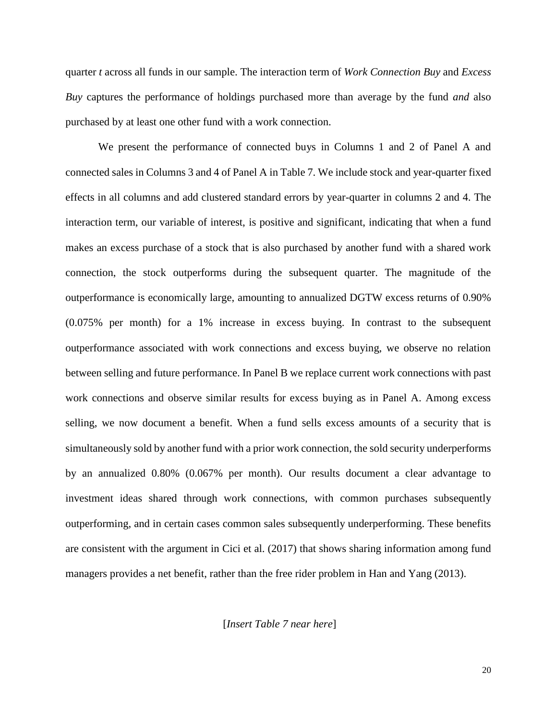quarter *t* across all funds in our sample. The interaction term of *Work Connection Buy* and *Excess Buy* captures the performance of holdings purchased more than average by the fund *and* also purchased by at least one other fund with a work connection.

We present the performance of connected buys in Columns 1 and 2 of Panel A and connected sales in Columns 3 and 4 of Panel A in Table 7. We include stock and year-quarter fixed effects in all columns and add clustered standard errors by year-quarter in columns 2 and 4. The interaction term, our variable of interest, is positive and significant, indicating that when a fund makes an excess purchase of a stock that is also purchased by another fund with a shared work connection, the stock outperforms during the subsequent quarter. The magnitude of the outperformance is economically large, amounting to annualized DGTW excess returns of 0.90% (0.075% per month) for a 1% increase in excess buying. In contrast to the subsequent outperformance associated with work connections and excess buying, we observe no relation between selling and future performance. In Panel B we replace current work connections with past work connections and observe similar results for excess buying as in Panel A. Among excess selling, we now document a benefit. When a fund sells excess amounts of a security that is simultaneously sold by another fund with a prior work connection, the sold security underperforms by an annualized 0.80% (0.067% per month). Our results document a clear advantage to investment ideas shared through work connections, with common purchases subsequently outperforming, and in certain cases common sales subsequently underperforming. These benefits are consistent with the argument in Cici et al. (2017) that shows sharing information among fund managers provides a net benefit, rather than the free rider problem in Han and Yang (2013).

[*Insert Table 7 near here*]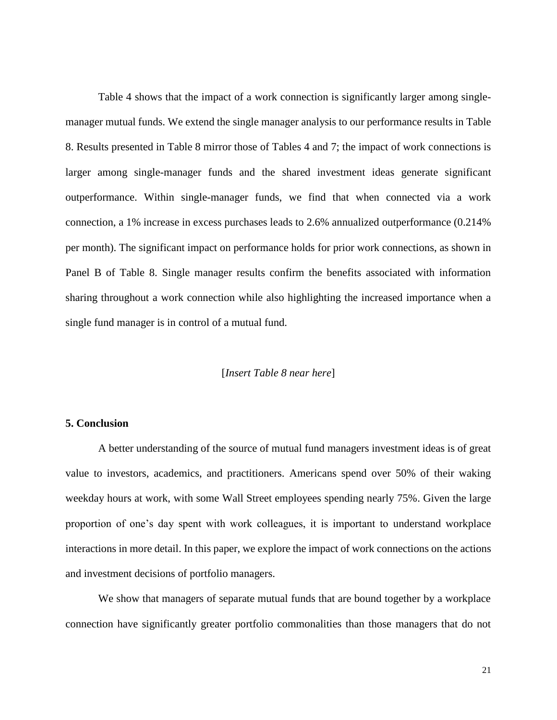Table 4 shows that the impact of a work connection is significantly larger among singlemanager mutual funds. We extend the single manager analysis to our performance results in Table 8. Results presented in Table 8 mirror those of Tables 4 and 7; the impact of work connections is larger among single-manager funds and the shared investment ideas generate significant outperformance. Within single-manager funds, we find that when connected via a work connection, a 1% increase in excess purchases leads to 2.6% annualized outperformance (0.214% per month). The significant impact on performance holds for prior work connections, as shown in Panel B of Table 8. Single manager results confirm the benefits associated with information sharing throughout a work connection while also highlighting the increased importance when a single fund manager is in control of a mutual fund.

# [*Insert Table 8 near here*]

### **5. Conclusion**

A better understanding of the source of mutual fund managers investment ideas is of great value to investors, academics, and practitioners. Americans spend over 50% of their waking weekday hours at work, with some Wall Street employees spending nearly 75%. Given the large proportion of one's day spent with work colleagues, it is important to understand workplace interactions in more detail. In this paper, we explore the impact of work connections on the actions and investment decisions of portfolio managers.

We show that managers of separate mutual funds that are bound together by a workplace connection have significantly greater portfolio commonalities than those managers that do not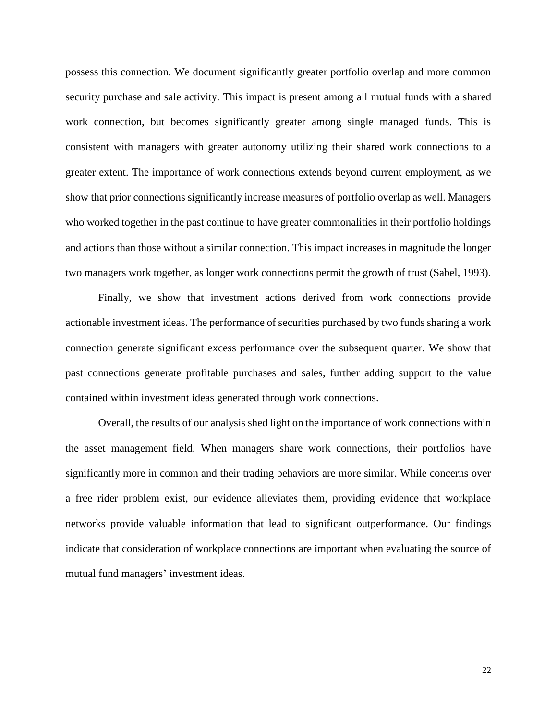possess this connection. We document significantly greater portfolio overlap and more common security purchase and sale activity. This impact is present among all mutual funds with a shared work connection, but becomes significantly greater among single managed funds. This is consistent with managers with greater autonomy utilizing their shared work connections to a greater extent. The importance of work connections extends beyond current employment, as we show that prior connections significantly increase measures of portfolio overlap as well. Managers who worked together in the past continue to have greater commonalities in their portfolio holdings and actions than those without a similar connection. This impact increases in magnitude the longer two managers work together, as longer work connections permit the growth of trust (Sabel, 1993).

Finally, we show that investment actions derived from work connections provide actionable investment ideas. The performance of securities purchased by two funds sharing a work connection generate significant excess performance over the subsequent quarter. We show that past connections generate profitable purchases and sales, further adding support to the value contained within investment ideas generated through work connections.

Overall, the results of our analysis shed light on the importance of work connections within the asset management field. When managers share work connections, their portfolios have significantly more in common and their trading behaviors are more similar. While concerns over a free rider problem exist, our evidence alleviates them, providing evidence that workplace networks provide valuable information that lead to significant outperformance. Our findings indicate that consideration of workplace connections are important when evaluating the source of mutual fund managers' investment ideas.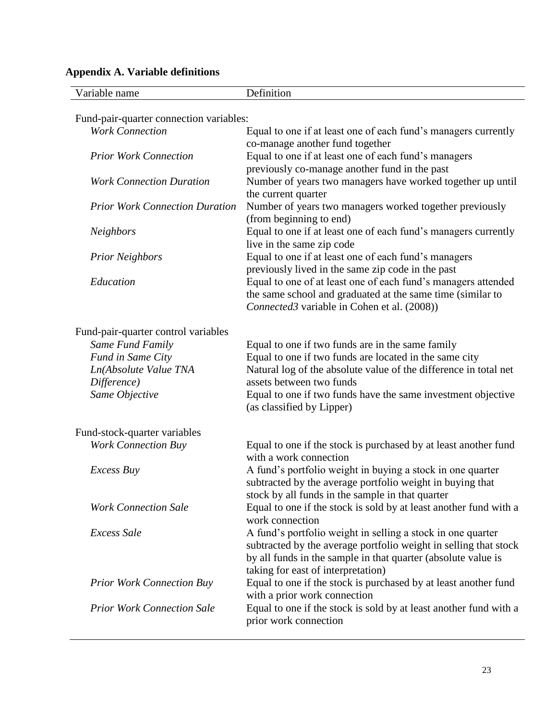| Variable name                           | Definition                                                                                                                                                                                                                             |
|-----------------------------------------|----------------------------------------------------------------------------------------------------------------------------------------------------------------------------------------------------------------------------------------|
| Fund-pair-quarter connection variables: |                                                                                                                                                                                                                                        |
| <b>Work Connection</b>                  | Equal to one if at least one of each fund's managers currently<br>co-manage another fund together                                                                                                                                      |
| <b>Prior Work Connection</b>            | Equal to one if at least one of each fund's managers<br>previously co-manage another fund in the past                                                                                                                                  |
| <b>Work Connection Duration</b>         | Number of years two managers have worked together up until<br>the current quarter                                                                                                                                                      |
| <b>Prior Work Connection Duration</b>   | Number of years two managers worked together previously<br>(from beginning to end)                                                                                                                                                     |
| <b>Neighbors</b>                        | Equal to one if at least one of each fund's managers currently<br>live in the same zip code                                                                                                                                            |
| <b>Prior Neighbors</b>                  | Equal to one if at least one of each fund's managers<br>previously lived in the same zip code in the past                                                                                                                              |
| Education                               | Equal to one of at least one of each fund's managers attended<br>the same school and graduated at the same time (similar to<br>Connected3 variable in Cohen et al. (2008))                                                             |
| Fund-pair-quarter control variables     |                                                                                                                                                                                                                                        |
| Same Fund Family                        | Equal to one if two funds are in the same family                                                                                                                                                                                       |
| Fund in Same City                       | Equal to one if two funds are located in the same city                                                                                                                                                                                 |
| Ln(Absolute Value TNA                   | Natural log of the absolute value of the difference in total net                                                                                                                                                                       |
| Difference)                             | assets between two funds                                                                                                                                                                                                               |
| Same Objective                          | Equal to one if two funds have the same investment objective<br>(as classified by Lipper)                                                                                                                                              |
| Fund-stock-quarter variables            |                                                                                                                                                                                                                                        |
| <b>Work Connection Buy</b>              | Equal to one if the stock is purchased by at least another fund<br>with a work connection                                                                                                                                              |
| Excess Buy                              | A fund's portfolio weight in buying a stock in one quarter<br>subtracted by the average portfolio weight in buying that<br>stock by all funds in the sample in that quarter                                                            |
| <b>Work Connection Sale</b>             | Equal to one if the stock is sold by at least another fund with a<br>work connection                                                                                                                                                   |
| Excess Sale                             | A fund's portfolio weight in selling a stock in one quarter<br>subtracted by the average portfolio weight in selling that stock<br>by all funds in the sample in that quarter (absolute value is<br>taking for east of interpretation) |
| <b>Prior Work Connection Buy</b>        | Equal to one if the stock is purchased by at least another fund<br>with a prior work connection                                                                                                                                        |
| <b>Prior Work Connection Sale</b>       | Equal to one if the stock is sold by at least another fund with a<br>prior work connection                                                                                                                                             |

# **Appendix A. Variable definitions**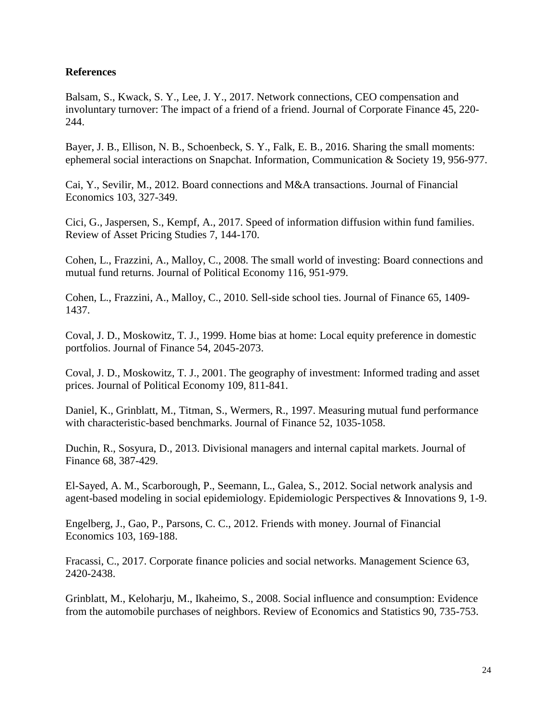# **References**

Balsam, S., Kwack, S. Y., Lee, J. Y., 2017. Network connections, CEO compensation and involuntary turnover: The impact of a friend of a friend. Journal of Corporate Finance 45, 220- 244.

Bayer, J. B., Ellison, N. B., Schoenbeck, S. Y., Falk, E. B., 2016. Sharing the small moments: ephemeral social interactions on Snapchat. Information, Communication & Society 19, 956-977.

Cai, Y., Sevilir, M., 2012. Board connections and M&A transactions. Journal of Financial Economics 103, 327-349.

Cici, G., Jaspersen, S., Kempf, A., 2017. Speed of information diffusion within fund families. Review of Asset Pricing Studies 7, 144-170.

Cohen, L., Frazzini, A., Malloy, C., 2008. The small world of investing: Board connections and mutual fund returns. Journal of Political Economy 116, 951-979.

Cohen, L., Frazzini, A., Malloy, C., 2010. Sell-side school ties. Journal of Finance 65, 1409- 1437.

Coval, J. D., Moskowitz, T. J., 1999. Home bias at home: Local equity preference in domestic portfolios. Journal of Finance 54, 2045-2073.

Coval, J. D., Moskowitz, T. J., 2001. The geography of investment: Informed trading and asset prices. Journal of Political Economy 109, 811-841.

Daniel, K., Grinblatt, M., Titman, S., Wermers, R., 1997. Measuring mutual fund performance with characteristic-based benchmarks. Journal of Finance 52, 1035-1058.

Duchin, R., Sosyura, D., 2013. Divisional managers and internal capital markets. Journal of Finance 68, 387-429.

El-Sayed, A. M., Scarborough, P., Seemann, L., Galea, S., 2012. Social network analysis and agent-based modeling in social epidemiology. Epidemiologic Perspectives & Innovations 9, 1-9.

Engelberg, J., Gao, P., Parsons, C. C., 2012. Friends with money. Journal of Financial Economics 103, 169-188.

Fracassi, C., 2017. Corporate finance policies and social networks. Management Science 63, 2420-2438.

Grinblatt, M., Keloharju, M., Ikaheimo, S., 2008. Social influence and consumption: Evidence from the automobile purchases of neighbors. Review of Economics and Statistics 90, 735-753.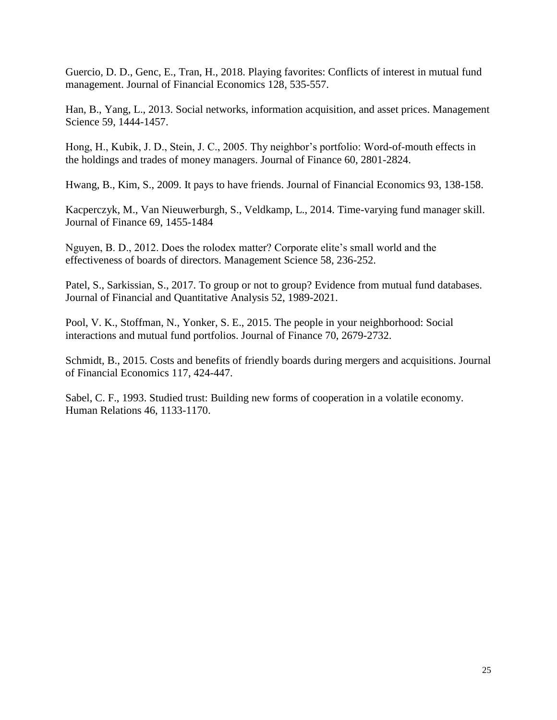Guercio, D. D., Genc, E., Tran, H., 2018. Playing favorites: Conflicts of interest in mutual fund management. Journal of Financial Economics 128, 535-557.

Han, B., Yang, L., 2013. Social networks, information acquisition, and asset prices. Management Science 59, 1444-1457.

Hong, H., Kubik, J. D., Stein, J. C., 2005. Thy neighbor's portfolio: Word-of-mouth effects in the holdings and trades of money managers. Journal of Finance 60, 2801-2824.

Hwang, B., Kim, S., 2009. It pays to have friends. Journal of Financial Economics 93, 138-158.

Kacperczyk, M., Van Nieuwerburgh, S., Veldkamp, L., 2014. Time-varying fund manager skill. Journal of Finance 69, 1455-1484

Nguyen, B. D., 2012. Does the rolodex matter? Corporate elite's small world and the effectiveness of boards of directors. Management Science 58, 236-252.

Patel, S., Sarkissian, S., 2017. To group or not to group? Evidence from mutual fund databases. Journal of Financial and Quantitative Analysis 52, 1989-2021.

Pool, V. K., Stoffman, N., Yonker, S. E., 2015. The people in your neighborhood: Social interactions and mutual fund portfolios. Journal of Finance 70, 2679-2732.

Schmidt, B., 2015. Costs and benefits of friendly boards during mergers and acquisitions. Journal of Financial Economics 117, 424-447.

Sabel, C. F., 1993. Studied trust: Building new forms of cooperation in a volatile economy. Human Relations 46, 1133-1170.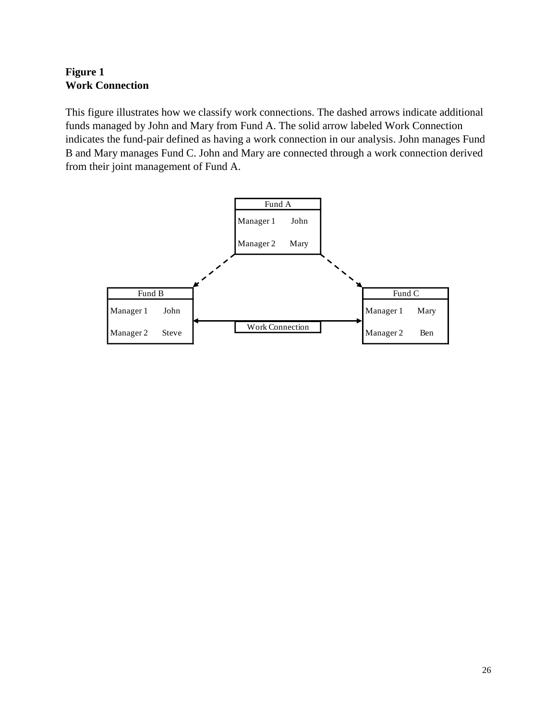# **Figure 1 Work Connection**

This figure illustrates how we classify work connections. The dashed arrows indicate additional funds managed by John and Mary from Fund A. The solid arrow labeled Work Connection indicates the fund-pair defined as having a work connection in our analysis. John manages Fund B and Mary manages Fund C. John and Mary are connected through a work connection derived from their joint management of Fund A.

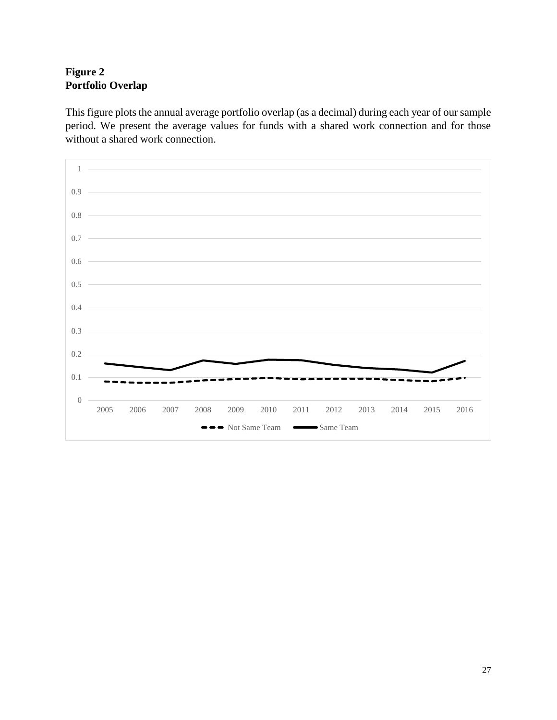# **Figure 2 Portfolio Overlap**

This figure plots the annual average portfolio overlap (as a decimal) during each year of our sample period. We present the average values for funds with a shared work connection and for those without a shared work connection.

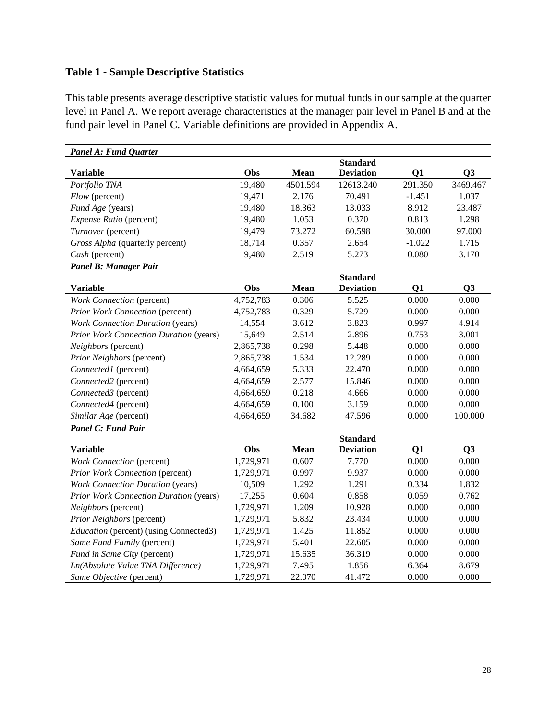# **Table 1 - Sample Descriptive Statistics**

This table presents average descriptive statistic values for mutual funds in our sample at the quarter level in Panel A. We report average characteristics at the manager pair level in Panel B and at the fund pair level in Panel C. Variable definitions are provided in Appendix A.

| <b>Panel A: Fund Quarter</b>                  |           |          |                  |           |                |
|-----------------------------------------------|-----------|----------|------------------|-----------|----------------|
|                                               |           |          | <b>Standard</b>  |           |                |
| <b>Variable</b>                               | Obs       | Mean     | <b>Deviation</b> | Q1        | Q <sub>3</sub> |
| Portfolio TNA                                 | 19,480    | 4501.594 | 12613.240        | 291.350   | 3469.467       |
| Flow (percent)                                | 19,471    | 2.176    | 70.491           | $-1.451$  | 1.037          |
| Fund Age (years)                              | 19,480    | 18.363   | 13.033           | 8.912     | 23.487         |
| Expense Ratio (percent)                       | 19,480    | 1.053    | 0.370            | 0.813     | 1.298          |
| Turnover (percent)                            | 19,479    | 73.272   | 60.598           | 30.000    | 97.000         |
| Gross Alpha (quarterly percent)               | 18,714    | 0.357    | 2.654            | $-1.022$  | 1.715          |
| Cash (percent)                                | 19,480    | 2.519    | 5.273            | 0.080     | 3.170          |
| Panel B: Manager Pair                         |           |          |                  |           |                |
|                                               |           |          | <b>Standard</b>  |           |                |
| <b>Variable</b>                               | Obs       | Mean     | <b>Deviation</b> | Q1        | Q <sub>3</sub> |
| Work Connection (percent)                     | 4,752,783 | 0.306    | 5.525            | 0.000     | 0.000          |
| Prior Work Connection (percent)               | 4,752,783 | 0.329    | 5.729            | 0.000     | 0.000          |
| <b>Work Connection Duration (years)</b>       | 14,554    | 3.612    | 3.823            | 0.997     | 4.914          |
| <b>Prior Work Connection Duration (years)</b> | 15,649    | 2.514    | 2.896            | 0.753     | 3.001          |
| Neighbors (percent)                           | 2,865,738 | 0.298    | 5.448            | 0.000     | 0.000          |
| Prior Neighbors (percent)                     | 2,865,738 | 1.534    | 12.289           | $0.000\,$ | 0.000          |
| Connected1 (percent)                          | 4,664,659 | 5.333    | 22.470           | 0.000     | 0.000          |
| Connected2 (percent)                          | 4,664,659 | 2.577    | 15.846           | 0.000     | 0.000          |
| Connected3 (percent)                          | 4,664,659 | 0.218    | 4.666            | 0.000     | 0.000          |
| Connected4 (percent)                          | 4,664,659 | 0.100    | 3.159            | 0.000     | 0.000          |
| Similar Age (percent)                         | 4,664,659 | 34.682   | 47.596           | 0.000     | 100.000        |
| <b>Panel C: Fund Pair</b>                     |           |          |                  |           |                |
|                                               |           |          | <b>Standard</b>  |           |                |
| <b>Variable</b>                               | Obs       | Mean     | <b>Deviation</b> | Q1        | Q3             |
| Work Connection (percent)                     | 1,729,971 | 0.607    | 7.770            | 0.000     | 0.000          |
| Prior Work Connection (percent)               | 1,729,971 | 0.997    | 9.937            | 0.000     | 0.000          |
| <b>Work Connection Duration (years)</b>       | 10,509    | 1.292    | 1.291            | 0.334     | 1.832          |
| <b>Prior Work Connection Duration (years)</b> | 17,255    | 0.604    | 0.858            | 0.059     | 0.762          |
| Neighbors (percent)                           | 1,729,971 | 1.209    | 10.928           | 0.000     | 0.000          |
| Prior Neighbors (percent)                     | 1,729,971 | 5.832    | 23.434           | 0.000     | 0.000          |
| <i>Education</i> (percent) (using Connected3) | 1,729,971 | 1.425    | 11.852           | 0.000     | 0.000          |
| Same Fund Family (percent)                    | 1,729,971 | 5.401    | 22.605           | 0.000     | 0.000          |
| Fund in Same City (percent)                   | 1,729,971 | 15.635   | 36.319           | 0.000     | 0.000          |
| Ln(Absolute Value TNA Difference)             | 1,729,971 | 7.495    | 1.856            | 6.364     | 8.679          |
| Same Objective (percent)                      | 1,729,971 | 22.070   | 41.472           | 0.000     | 0.000          |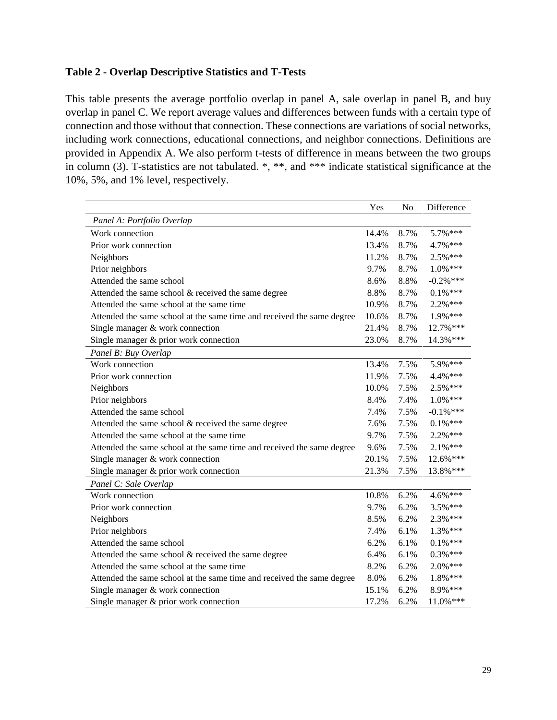# **Table 2 - Overlap Descriptive Statistics and T-Tests**

This table presents the average portfolio overlap in panel A, sale overlap in panel B, and buy overlap in panel C. We report average values and differences between funds with a certain type of connection and those without that connection. These connections are variations of social networks, including work connections, educational connections, and neighbor connections. Definitions are provided in Appendix A. We also perform t-tests of difference in means between the two groups in column (3). T-statistics are not tabulated. \*, \*\*, and \*\*\* indicate statistical significance at the 10%, 5%, and 1% level, respectively.

|                                                                        | Yes   | N <sub>o</sub> | Difference   |
|------------------------------------------------------------------------|-------|----------------|--------------|
| Panel A: Portfolio Overlap                                             |       |                |              |
| Work connection                                                        | 14.4% | 8.7%           | 5.7%***      |
| Prior work connection                                                  | 13.4% | 8.7%           | 4.7%***      |
| Neighbors                                                              | 11.2% | 8.7%           | 2.5%***      |
| Prior neighbors                                                        | 9.7%  | 8.7%           | $1.0\%$ ***  |
| Attended the same school                                               | 8.6%  | 8.8%           | $-0.2\%$ *** |
| Attended the same school & received the same degree                    | 8.8%  | 8.7%           | $0.1\%$ ***  |
| Attended the same school at the same time                              | 10.9% | 8.7%           | $2.2%***$    |
| Attended the same school at the same time and received the same degree | 10.6% | 8.7%           | 1.9%***      |
| Single manager & work connection                                       | 21.4% | 8.7%           | 12.7%***     |
| Single manager & prior work connection                                 | 23.0% | 8.7%           | 14.3%***     |
| Panel B: Buy Overlap                                                   |       |                |              |
| Work connection                                                        | 13.4% | 7.5%           | 5.9%***      |
| Prior work connection                                                  | 11.9% | 7.5%           | 4.4%***      |
| Neighbors                                                              | 10.0% | 7.5%           | 2.5%***      |
| Prior neighbors                                                        | 8.4%  | 7.4%           | $1.0\%$ ***  |
| Attended the same school                                               | 7.4%  | 7.5%           | $-0.1\%$ *** |
| Attended the same school & received the same degree                    | 7.6%  | 7.5%           | $0.1\%$ ***  |
| Attended the same school at the same time                              | 9.7%  | 7.5%           | 2.2%***      |
| Attended the same school at the same time and received the same degree | 9.6%  | 7.5%           | $2.1\%***$   |
| Single manager & work connection                                       | 20.1% | 7.5%           | 12.6%***     |
| Single manager & prior work connection                                 | 21.3% | 7.5%           | 13.8%***     |
| Panel C: Sale Overlap                                                  |       |                |              |
| Work connection                                                        | 10.8% | 6.2%           | 4.6%***      |
| Prior work connection                                                  | 9.7%  | 6.2%           | $3.5\%$ ***  |
| Neighbors                                                              | 8.5%  | 6.2%           | $2.3\%$ ***  |
| Prior neighbors                                                        | 7.4%  | 6.1%           | $1.3\%$ ***  |
| Attended the same school                                               | 6.2%  | 6.1%           | $0.1\%$ ***  |
| Attended the same school & received the same degree                    | 6.4%  | 6.1%           | $0.3\%$ ***  |
| Attended the same school at the same time                              | 8.2%  | 6.2%           | $2.0\%***$   |
| Attended the same school at the same time and received the same degree | 8.0%  | 6.2%           | 1.8%***      |
| Single manager & work connection                                       | 15.1% | 6.2%           | 8.9%***      |
| Single manager & prior work connection                                 | 17.2% | 6.2%           | $11.0\%***$  |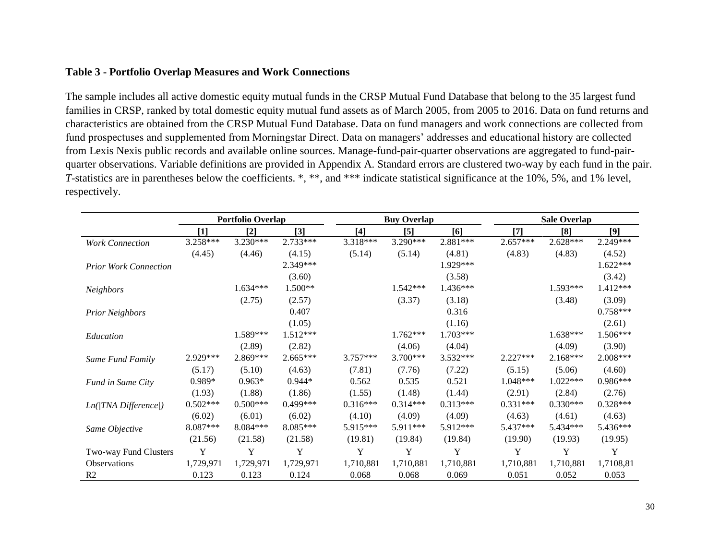# **Table 3 - Portfolio Overlap Measures and Work Connections**

The sample includes all active domestic equity mutual funds in the CRSP Mutual Fund Database that belong to the 35 largest fund families in CRSP, ranked by total domestic equity mutual fund assets as of March 2005, from 2005 to 2016. Data on fund returns and characteristics are obtained from the CRSP Mutual Fund Database. Data on fund managers and work connections are collected from fund prospectuses and supplemented from Morningstar Direct. Data on managers' addresses and educational history are collected from Lexis Nexis public records and available online sources. Manage-fund-pair-quarter observations are aggregated to fund-pairquarter observations. Variable definitions are provided in Appendix A. Standard errors are clustered two-way by each fund in the pair. *T*-statistics are in parentheses below the coefficients. \*, \*\*, and \*\*\* indicate statistical significance at the 10%, 5%, and 1% level, respectively.

|                              |            | <b>Portfolio Overlap</b> |            |            | <b>Buy Overlap</b> |            |            | <b>Sale Overlap</b> |            |  |
|------------------------------|------------|--------------------------|------------|------------|--------------------|------------|------------|---------------------|------------|--|
|                              | $[1]$      | $[2]$                    | $[3]$      | $[4]$      | [5]                | [6]        | $[7]$      | [8]                 | [9]        |  |
| <b>Work Connection</b>       | 3.258***   | 3.230***                 | 2.733***   | 3.318***   | $3.290***$         | 2.881***   | $2.657***$ | $2.628***$          | 2.249***   |  |
|                              | (4.45)     | (4.46)                   | (4.15)     | (5.14)     | (5.14)             | (4.81)     | (4.83)     | (4.83)              | (4.52)     |  |
| <b>Prior Work Connection</b> |            |                          | 2.349***   |            |                    | 1.929***   |            |                     | $1.622***$ |  |
|                              |            |                          | (3.60)     |            |                    | (3.58)     |            |                     | (3.42)     |  |
| Neighbors                    |            | $1.634***$               | $1.500**$  |            | $1.542***$         | 1.436***   |            | $1.593***$          | $1.412***$ |  |
|                              |            | (2.75)                   | (2.57)     |            | (3.37)             | (3.18)     |            | (3.48)              | (3.09)     |  |
| <b>Prior Neighbors</b>       |            |                          | 0.407      |            |                    | 0.316      |            |                     | $0.758***$ |  |
|                              |            |                          | (1.05)     |            |                    | (1.16)     |            |                     | (2.61)     |  |
| Education                    |            | 1.589***                 | $1.512***$ |            | $1.762***$         | $1.703***$ |            | 1.638***            | $1.506***$ |  |
|                              |            | (2.89)                   | (2.82)     |            | (4.06)             | (4.04)     |            | (4.09)              | (3.90)     |  |
| Same Fund Family             | 2.929***   | 2.869***                 | $2.665***$ | $3.757***$ | $3.700***$         | 3.532***   | $2.227***$ | $2.168***$          | $2.008***$ |  |
|                              | (5.17)     | (5.10)                   | (4.63)     | (7.81)     | (7.76)             | (7.22)     | (5.15)     | (5.06)              | (4.60)     |  |
| Fund in Same City            | 0.989*     | $0.963*$                 | $0.944*$   | 0.562      | 0.535              | 0.521      | 1.048***   | $1.022***$          | $0.986***$ |  |
|                              | (1.93)     | (1.88)                   | (1.86)     | (1.55)     | (1.48)             | (1.44)     | (2.91)     | (2.84)              | (2.76)     |  |
| $Ln(TNA$ Difference $ )$     | $0.502***$ | $0.500***$               | $0.499***$ | $0.316***$ | $0.314***$         | $0.313***$ | $0.331***$ | $0.330***$          | $0.328***$ |  |
|                              | (6.02)     | (6.01)                   | (6.02)     | (4.10)     | (4.09)             | (4.09)     | (4.63)     | (4.61)              | (4.63)     |  |
| Same Objective               | 8.087***   | $8.084***$               | 8.085***   | 5.915***   | $5.911***$         | 5.912***   | 5.437***   | 5.434***            | 5.436***   |  |
|                              | (21.56)    | (21.58)                  | (21.58)    | (19.81)    | (19.84)            | (19.84)    | (19.90)    | (19.93)             | (19.95)    |  |
| Two-way Fund Clusters        | Y          | Y                        | Y          | Y          | Y                  | Y          | Y          | Y                   | Y          |  |
| Observations                 | 1,729,971  | 1,729,971                | 1,729,971  | 1,710,881  | 1,710,881          | 1,710,881  | 1,710,881  | 1,710,881           | 1,7108,81  |  |
| R <sub>2</sub>               | 0.123      | 0.123                    | 0.124      | 0.068      | 0.068              | 0.069      | 0.051      | 0.052               | 0.053      |  |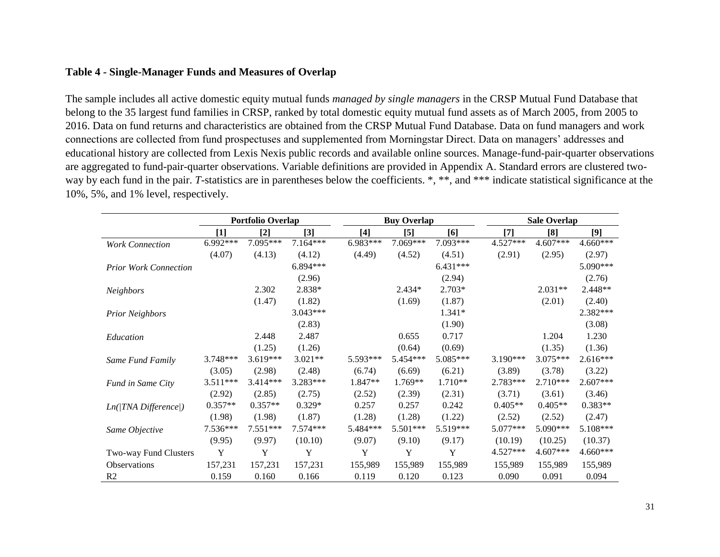# **Table 4 - Single-Manager Funds and Measures of Overlap**

The sample includes all active domestic equity mutual funds *managed by single managers* in the CRSP Mutual Fund Database that belong to the 35 largest fund families in CRSP, ranked by total domestic equity mutual fund assets as of March 2005, from 2005 to 2016. Data on fund returns and characteristics are obtained from the CRSP Mutual Fund Database. Data on fund managers and work connections are collected from fund prospectuses and supplemented from Morningstar Direct. Data on managers' addresses and educational history are collected from Lexis Nexis public records and available online sources. Manage-fund-pair-quarter observations are aggregated to fund-pair-quarter observations. Variable definitions are provided in Appendix A. Standard errors are clustered twoway by each fund in the pair. *T*-statistics are in parentheses below the coefficients. \*, \*\*, and \*\*\* indicate statistical significance at the 10%, 5%, and 1% level, respectively.

|                              | Portfolio Overlap |                   |            | <b>Buy Overlap</b> |            |            | <b>Sale Overlap</b> |            |            |
|------------------------------|-------------------|-------------------|------------|--------------------|------------|------------|---------------------|------------|------------|
|                              | [1]               | $\lceil 2 \rceil$ | [3]        | $[4]$              | $\sqrt{5}$ | [6]        | [7]                 | [8]        | [9]        |
| <b>Work Connection</b>       | 6.992***          | 7.095***          | 7.164***   | 6.983***           | 7.069***   | 7.093***   | 4.527***            | 4.607***   | $4.660***$ |
|                              | (4.07)            | (4.13)            | (4.12)     | (4.49)             | (4.52)     | (4.51)     | (2.91)              | (2.95)     | (2.97)     |
| <b>Prior Work Connection</b> |                   |                   | $6.894***$ |                    |            | $6.431***$ |                     |            | 5.090***   |
|                              |                   |                   | (2.96)     |                    |            | (2.94)     |                     |            | (2.76)     |
| Neighbors                    |                   | 2.302             | 2.838*     |                    | 2.434*     | 2.703*     |                     | $2.031**$  | 2.448**    |
|                              |                   | (1.47)            | (1.82)     |                    | (1.69)     | (1.87)     |                     | (2.01)     | (2.40)     |
| <b>Prior Neighbors</b>       |                   |                   | $3.043***$ |                    |            | 1.341*     |                     |            | 2.382***   |
|                              |                   |                   | (2.83)     |                    |            | (1.90)     |                     |            | (3.08)     |
| Education                    |                   | 2.448             | 2.487      |                    | 0.655      | 0.717      |                     | 1.204      | 1.230      |
|                              |                   | (1.25)            | (1.26)     |                    | (0.64)     | (0.69)     |                     | (1.35)     | (1.36)     |
| Same Fund Family             | $3.748***$        | $3.619***$        | $3.021**$  | 5.593***           | 5.454 ***  | 5.085***   | $3.190***$          | $3.075***$ | $2.616***$ |
|                              | (3.05)            | (2.98)            | (2.48)     | (6.74)             | (6.69)     | (6.21)     | (3.89)              | (3.78)     | (3.22)     |
| Fund in Same City            | 3.511***          | $3.414***$        | 3.283***   | 1.847**            | $1.769**$  | $1.710**$  | 2.783***            | $2.710***$ | $2.607***$ |
|                              | (2.92)            | (2.85)            | (2.75)     | (2.52)             | (2.39)     | (2.31)     | (3.71)              | (3.61)     | (3.46)     |
| $Ln( TNA\; Difference )$     | $0.357**$         | $0.357**$         | $0.329*$   | 0.257              | 0.257      | 0.242      | $0.405**$           | $0.405**$  | $0.383**$  |
|                              | (1.98)            | (1.98)            | (1.87)     | (1.28)             | (1.28)     | (1.22)     | (2.52)              | (2.52)     | (2.47)     |
| Same Objective               | 7.536***          | $7.551***$        | $7.574***$ | 5.484***           | 5.501***   | 5.519***   | $5.077***$          | 5.090***   | 5.108***   |
|                              | (9.95)            | (9.97)            | (10.10)    | (9.07)             | (9.10)     | (9.17)     | (10.19)             | (10.25)    | (10.37)    |
| Two-way Fund Clusters        | Y                 | Y                 | Y          | Y                  | Y          | Y          | 4.527***            | 4.607***   | $4.660***$ |
| <b>Observations</b>          | 157,231           | 157,231           | 157,231    | 155,989            | 155,989    | 155,989    | 155,989             | 155,989    | 155,989    |
| R <sub>2</sub>               | 0.159             | 0.160             | 0.166      | 0.119              | 0.120      | 0.123      | 0.090               | 0.091      | 0.094      |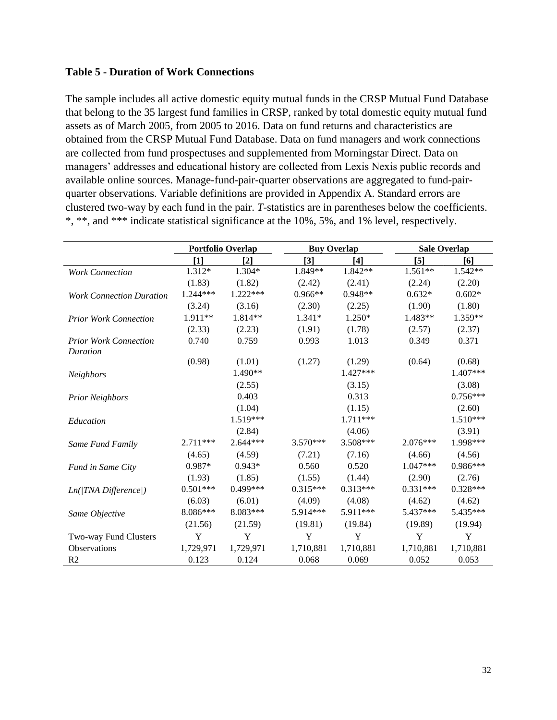# **Table 5 - Duration of Work Connections**

The sample includes all active domestic equity mutual funds in the CRSP Mutual Fund Database that belong to the 35 largest fund families in CRSP, ranked by total domestic equity mutual fund assets as of March 2005, from 2005 to 2016. Data on fund returns and characteristics are obtained from the CRSP Mutual Fund Database. Data on fund managers and work connections are collected from fund prospectuses and supplemented from Morningstar Direct. Data on managers' addresses and educational history are collected from Lexis Nexis public records and available online sources. Manage-fund-pair-quarter observations are aggregated to fund-pairquarter observations. Variable definitions are provided in Appendix A. Standard errors are clustered two-way by each fund in the pair. *T*-statistics are in parentheses below the coefficients. \*, \*\*, and \*\*\* indicate statistical significance at the 10%, 5%, and 1% level, respectively.

|                                          | <b>Portfolio Overlap</b> |            | <b>Buy Overlap</b> |            | <b>Sale Overlap</b> |            |  |
|------------------------------------------|--------------------------|------------|--------------------|------------|---------------------|------------|--|
|                                          | $[1]$                    | $[2]$      | $[3]$              | $[4]$      | $[5]$               | [6]        |  |
| <b>Work Connection</b>                   | 1.312*                   | 1.304*     | 1.849**            | 1.842**    | 1.561**             | $1.542**$  |  |
|                                          | (1.83)                   | (1.82)     | (2.42)             | (2.41)     | (2.24)              | (2.20)     |  |
| <b>Work Connection Duration</b>          | 1.244***                 | 1.222***   | 0.966**            | 0.948**    | $0.632*$            | $0.602*$   |  |
|                                          | (3.24)                   | (3.16)     | (2.30)             | (2.25)     | (1.90)              | (1.80)     |  |
| <b>Prior Work Connection</b>             | 1.911**                  | 1.814**    | 1.341*             | 1.250*     | 1.483**             | 1.359**    |  |
|                                          | (2.33)                   | (2.23)     | (1.91)             | (1.78)     | (2.57)              | (2.37)     |  |
| <b>Prior Work Connection</b><br>Duration | 0.740                    | 0.759      | 0.993              | 1.013      | 0.349               | 0.371      |  |
|                                          | (0.98)                   | (1.01)     | (1.27)             | (1.29)     | (0.64)              | (0.68)     |  |
| <b>Neighbors</b>                         |                          | 1.490**    |                    | $1.427***$ |                     | 1.407***   |  |
|                                          |                          | (2.55)     |                    | (3.15)     |                     | (3.08)     |  |
| <b>Prior Neighbors</b>                   |                          | 0.403      |                    | 0.313      |                     | $0.756***$ |  |
|                                          |                          | (1.04)     |                    | (1.15)     |                     | (2.60)     |  |
| Education                                |                          | 1.519***   |                    | 1.711***   |                     | 1.510***   |  |
|                                          |                          | (2.84)     |                    | (4.06)     |                     | (3.91)     |  |
| Same Fund Family                         | $2.711***$               | $2.644***$ | $3.570***$         | 3.508***   | $2.076***$          | 1.998***   |  |
|                                          | (4.65)                   | (4.59)     | (7.21)             | (7.16)     | (4.66)              | (4.56)     |  |
| Fund in Same City                        | 0.987*                   | $0.943*$   | 0.560              | 0.520      | $1.047***$          | 0.986***   |  |
|                                          | (1.93)                   | (1.85)     | (1.55)             | (1.44)     | (2.90)              | (2.76)     |  |
| $Ln(TNA$ Difference()                    | $0.501***$               | $0.499***$ | $0.315***$         | $0.313***$ | $0.331***$          | $0.328***$ |  |
|                                          | (6.03)                   | (6.01)     | (4.09)             | (4.08)     | (4.62)              | (4.62)     |  |
| Same Objective                           | $8.086***$               | 8.083***   | 5.914***           | 5.911***   | 5.437***            | 5.435***   |  |
|                                          | (21.56)                  | (21.59)    | (19.81)            | (19.84)    | (19.89)             | (19.94)    |  |
| Two-way Fund Clusters                    | Y                        | Y          | Y                  | Y          | Y                   | Y          |  |
| <b>Observations</b>                      | 1,729,971                | 1,729,971  | 1,710,881          | 1,710,881  | 1,710,881           | 1,710,881  |  |
| R <sub>2</sub>                           | 0.123                    | 0.124      | 0.068              | 0.069      | 0.052               | 0.053      |  |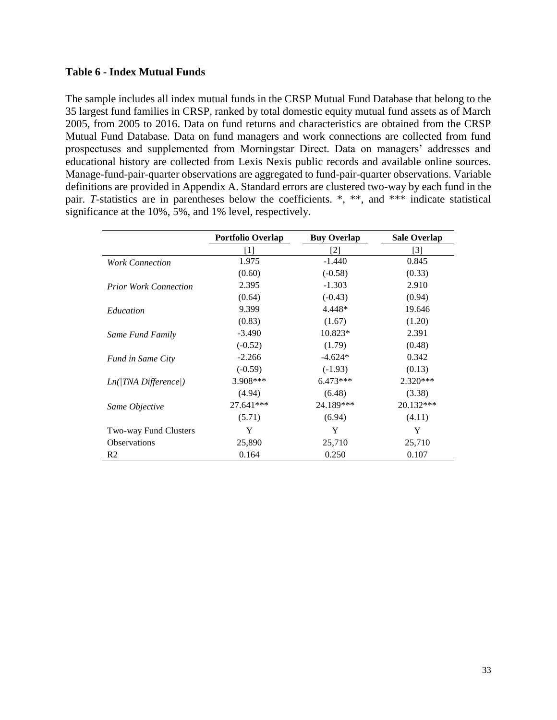# **Table 6 - Index Mutual Funds**

The sample includes all index mutual funds in the CRSP Mutual Fund Database that belong to the 35 largest fund families in CRSP, ranked by total domestic equity mutual fund assets as of March 2005, from 2005 to 2016. Data on fund returns and characteristics are obtained from the CRSP Mutual Fund Database. Data on fund managers and work connections are collected from fund prospectuses and supplemented from Morningstar Direct. Data on managers' addresses and educational history are collected from Lexis Nexis public records and available online sources. Manage-fund-pair-quarter observations are aggregated to fund-pair-quarter observations. Variable definitions are provided in Appendix A. Standard errors are clustered two-way by each fund in the pair. *T*-statistics are in parentheses below the coefficients. \*, \*\*, and \*\*\* indicate statistical significance at the 10%, 5%, and 1% level, respectively.

|                              | <b>Portfolio Overlap</b> | <b>Buy Overlap</b> | <b>Sale Overlap</b> |
|------------------------------|--------------------------|--------------------|---------------------|
|                              | [1]                      | [2]                | [3]                 |
| <b>Work Connection</b>       | 1.975                    | $-1.440$           | 0.845               |
|                              | (0.60)                   | $(-0.58)$          | (0.33)              |
| <b>Prior Work Connection</b> | 2.395                    | $-1.303$           | 2.910               |
|                              | (0.64)                   | $(-0.43)$          | (0.94)              |
| Education                    | 9.399                    | 4.448*             | 19.646              |
|                              | (0.83)                   | (1.67)             | (1.20)              |
| Same Fund Family             | $-3.490$                 | $10.823*$          | 2.391               |
|                              | $(-0.52)$                | (1.79)             | (0.48)              |
| <b>Fund in Same City</b>     | $-2.266$                 | $-4.624*$          | 0.342               |
|                              | $(-0.59)$                | $(-1.93)$          | (0.13)              |
| $Ln( TNA\;Difference )$      | 3.908***                 | $6.473***$         | $2.320***$          |
|                              | (4.94)                   | (6.48)             | (3.38)              |
| Same Objective               | 27.641***                | 24.189***          | $20.132***$         |
|                              | (5.71)                   | (6.94)             | (4.11)              |
| Two-way Fund Clusters        | Y                        | Y                  | Y                   |
| <b>Observations</b>          | 25,890                   | 25,710             | 25,710              |
| R <sub>2</sub>               | 0.164                    | 0.250              | 0.107               |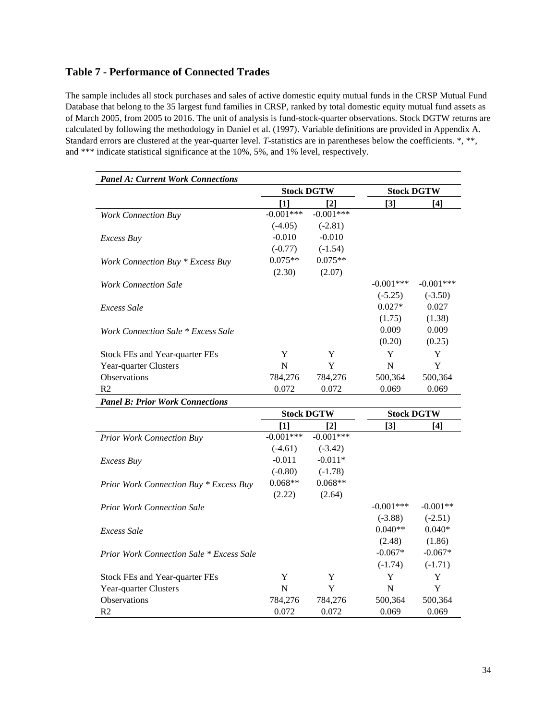# **Table 7 - Performance of Connected Trades**

The sample includes all stock purchases and sales of active domestic equity mutual funds in the CRSP Mutual Fund Database that belong to the 35 largest fund families in CRSP, ranked by total domestic equity mutual fund assets as of March 2005, from 2005 to 2016. The unit of analysis is fund-stock-quarter observations. Stock DGTW returns are calculated by following the methodology in Daniel et al. (1997). Variable definitions are provided in Appendix A. Standard errors are clustered at the year-quarter level. *T*-statistics are in parentheses below the coefficients. \*, \*\*, and \*\*\* indicate statistical significance at the 10%, 5%, and 1% level, respectively.

| <b>Panel A: Current Work Connections</b> |             |                   |             |                   |  |
|------------------------------------------|-------------|-------------------|-------------|-------------------|--|
|                                          |             | <b>Stock DGTW</b> |             | <b>Stock DGTW</b> |  |
|                                          | [1]         | [2]               | $[3]$       | [4]               |  |
| <b>Work Connection Buy</b>               | $-0.001***$ | $-0.001***$       |             |                   |  |
|                                          | $(-4.05)$   | $(-2.81)$         |             |                   |  |
| <i>Excess Buy</i>                        | $-0.010$    | $-0.010$          |             |                   |  |
|                                          | $(-0.77)$   | $(-1.54)$         |             |                   |  |
| Work Connection Buy * Excess Buy         | $0.075**$   | $0.075**$         |             |                   |  |
|                                          | (2.30)      | (2.07)            |             |                   |  |
| Work Connection Sale                     |             |                   | $-0.001***$ | $-0.001***$       |  |
|                                          |             |                   | $(-5.25)$   | $(-3.50)$         |  |
| Excess Sale                              |             |                   | $0.027*$    | 0.027             |  |
|                                          |             |                   | (1.75)      | (1.38)            |  |
| Work Connection Sale * Excess Sale       |             |                   | 0.009       | 0.009             |  |
|                                          |             |                   | (0.20)      | (0.25)            |  |
| Stock FEs and Year-quarter FEs           | Y           | Y                 | Y           | Y                 |  |
| Year-quarter Clusters                    | N           | Y                 | N           | Y                 |  |
| <b>Observations</b>                      | 784,276     | 784,276           | 500,364     | 500,364           |  |
| R <sub>2</sub>                           | 0.072       | 0.072             | 0.069       | 0.069             |  |
| <b>Panel B: Prior Work Connections</b>   |             |                   |             |                   |  |

|                                                 | <b>Stock DGTW</b> |             | <b>Stock DGTW</b> |            |
|-------------------------------------------------|-------------------|-------------|-------------------|------------|
|                                                 | [1]               | [2]         | [3]               | [4]        |
| <b>Prior Work Connection Buy</b>                | $-0.001***$       | $-0.001***$ |                   |            |
|                                                 | $(-4.61)$         | $(-3.42)$   |                   |            |
| <i>Excess Buy</i>                               | $-0.011$          | $-0.011*$   |                   |            |
|                                                 | $(-0.80)$         | $(-1.78)$   |                   |            |
| <b>Prior Work Connection Buy * Excess Buy</b>   | $0.068**$         | $0.068**$   |                   |            |
|                                                 | (2.22)            | (2.64)      |                   |            |
| <b>Prior Work Connection Sale</b>               |                   |             | $-0.001***$       | $-0.001**$ |
|                                                 |                   |             | $(-3.88)$         | $(-2.51)$  |
| Excess Sale                                     |                   |             | $0.040**$         | $0.040*$   |
|                                                 |                   |             | (2.48)            | (1.86)     |
| <b>Prior Work Connection Sale * Excess Sale</b> |                   |             | $-0.067*$         | $-0.067*$  |
|                                                 |                   |             | $(-1.74)$         | $(-1.71)$  |
| Stock FEs and Year-quarter FEs                  | Y                 | Y           | Y                 | Y          |
| Year-quarter Clusters                           | N                 | Y           | N                 | Y          |
| <b>Observations</b>                             | 784,276           | 784,276     | 500,364           | 500,364    |
| R <sub>2</sub>                                  | 0.072             | 0.072       | 0.069             | 0.069      |